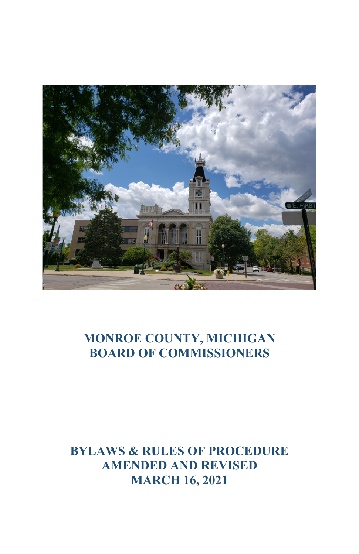

# **MONROE COUNTY, MICHIGAN BOARD OF COMMISSIONERS**

**BYLAWS & RULES OF PROCEDURE AMENDED AND REVISED MARCH 16, 2021**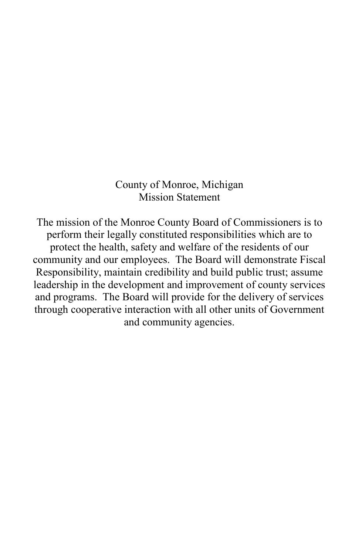County of Monroe, Michigan Mission Statement

The mission of the Monroe County Board of Commissioners is to perform their legally constituted responsibilities which are to protect the health, safety and welfare of the residents of our community and our employees. The Board will demonstrate Fiscal Responsibility, maintain credibility and build public trust; assume leadership in the development and improvement of county services and programs. The Board will provide for the delivery of services through cooperative interaction with all other units of Government and community agencies.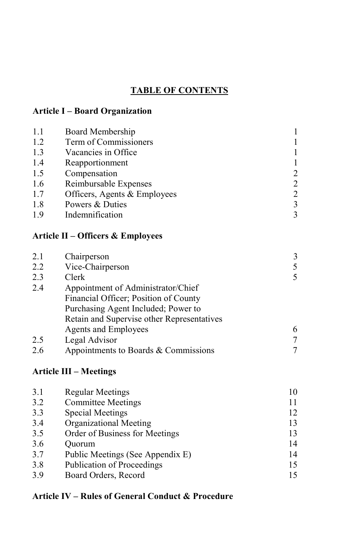# **TABLE OF CONTENTS**

# **Article I – Board Organization**

| 1.1 | Board Membership             |               |
|-----|------------------------------|---------------|
| 1.2 | Term of Commissioners        |               |
| 1.3 | Vacancies in Office          |               |
| 1.4 | Reapportionment              |               |
| 1.5 | Compensation                 | 2             |
| 1.6 | Reimbursable Expenses        | $\mathcal{L}$ |
| 1.7 | Officers, Agents & Employees | 2             |
| 1.8 | Powers & Duties              | 3             |
| 1.9 | Indemnification              |               |

# **Article II – Officers & Employees**

| 2.1 | Chairperson                                | 3 |
|-----|--------------------------------------------|---|
| 2.2 | Vice-Chairperson                           | 5 |
| 2.3 | Clerk                                      | 5 |
| 2.4 | Appointment of Administrator/Chief         |   |
|     | Financial Officer; Position of County      |   |
|     | Purchasing Agent Included; Power to        |   |
|     | Retain and Supervise other Representatives |   |
|     | <b>Agents and Employees</b>                | 6 |
| 2.5 | Legal Advisor                              |   |
| 2.6 | Appointments to Boards & Commissions       |   |

# **Article III – Meetings**

| 3.1 | Regular Meetings                 | 10 |
|-----|----------------------------------|----|
| 3.2 | <b>Committee Meetings</b>        |    |
| 3.3 | Special Meetings                 | 12 |
| 3.4 | Organizational Meeting           | 13 |
| 3.5 | Order of Business for Meetings   | 13 |
| 3.6 | Ouorum                           | 14 |
| 3.7 | Public Meetings (See Appendix E) | 14 |
| 3.8 | Publication of Proceedings       | 15 |
| 3.9 | Board Orders, Record             | 15 |

# **Article IV – Rules of General Conduct & Procedure**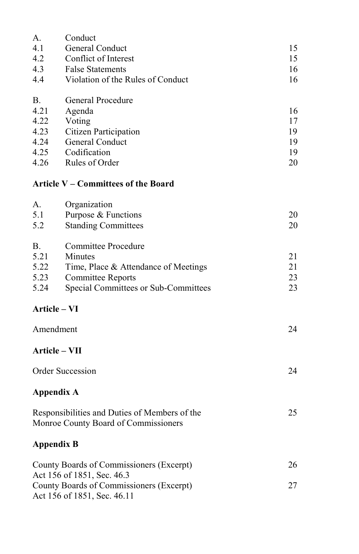| А.                                                                                    | Conduct                                                                 |    |  |  |  |
|---------------------------------------------------------------------------------------|-------------------------------------------------------------------------|----|--|--|--|
| 4.1                                                                                   | General Conduct                                                         | 15 |  |  |  |
| 4.2                                                                                   | Conflict of Interest                                                    | 15 |  |  |  |
| 4.3                                                                                   | <b>False Statements</b>                                                 | 16 |  |  |  |
| 4.4                                                                                   | Violation of the Rules of Conduct                                       | 16 |  |  |  |
|                                                                                       |                                                                         |    |  |  |  |
| В.                                                                                    | General Procedure                                                       |    |  |  |  |
| 4.21                                                                                  | Agenda                                                                  | 16 |  |  |  |
| 4.22                                                                                  | Voting                                                                  | 17 |  |  |  |
| 4.23                                                                                  | Citizen Participation                                                   | 19 |  |  |  |
| 4.24                                                                                  | General Conduct                                                         | 19 |  |  |  |
| 4.25                                                                                  | Codification                                                            | 19 |  |  |  |
| 4.26                                                                                  | Rules of Order                                                          | 20 |  |  |  |
|                                                                                       | Article V – Committees of the Board                                     |    |  |  |  |
| А.                                                                                    | Organization                                                            |    |  |  |  |
| 5.1                                                                                   | Purpose & Functions                                                     | 20 |  |  |  |
| 5.2                                                                                   | <b>Standing Committees</b>                                              | 20 |  |  |  |
|                                                                                       |                                                                         |    |  |  |  |
| <b>B.</b>                                                                             | <b>Committee Procedure</b>                                              |    |  |  |  |
| 5.21                                                                                  | Minutes                                                                 | 21 |  |  |  |
| 5.22                                                                                  | Time, Place & Attendance of Meetings                                    | 21 |  |  |  |
| 5.23                                                                                  | <b>Committee Reports</b>                                                | 23 |  |  |  |
| 5.24                                                                                  | Special Committees or Sub-Committees                                    | 23 |  |  |  |
|                                                                                       | Article - VI                                                            |    |  |  |  |
|                                                                                       |                                                                         |    |  |  |  |
| Amendment                                                                             |                                                                         | 24 |  |  |  |
| $Article - VII$                                                                       |                                                                         |    |  |  |  |
|                                                                                       | Order Succession                                                        | 24 |  |  |  |
| <b>Appendix A</b>                                                                     |                                                                         |    |  |  |  |
| Responsibilities and Duties of Members of the<br>Monroe County Board of Commissioners |                                                                         | 25 |  |  |  |
| <b>Appendix B</b>                                                                     |                                                                         |    |  |  |  |
| County Boards of Commissioners (Excerpt)<br>Act 156 of 1851, Sec. 46.3                |                                                                         | 26 |  |  |  |
|                                                                                       | County Boards of Commissioners (Excerpt)<br>Act 156 of 1851, Sec. 46.11 | 27 |  |  |  |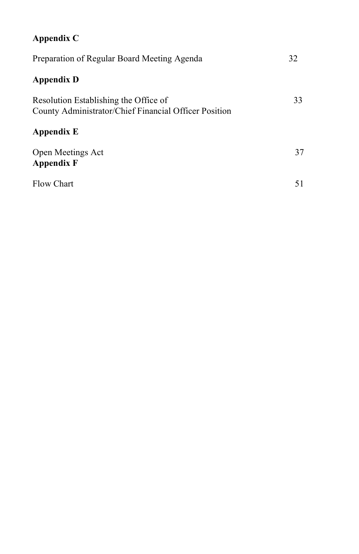# **Appendix C**

| Preparation of Regular Board Meeting Agenda                                                    | 32 |
|------------------------------------------------------------------------------------------------|----|
| <b>Appendix D</b>                                                                              |    |
| Resolution Establishing the Office of<br>County Administrator/Chief Financial Officer Position | 33 |
| Appendix E                                                                                     |    |
| Open Meetings Act<br>Appendix F                                                                | 37 |
| Flow Chart                                                                                     | 51 |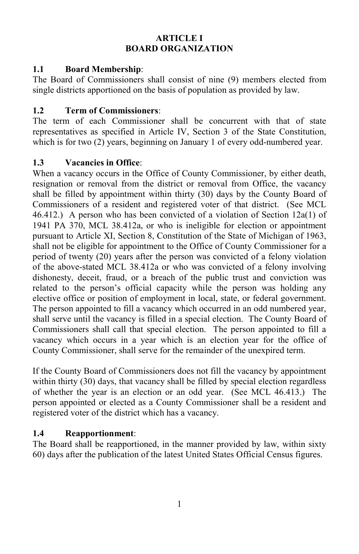### **ARTICLE I BOARD ORGANIZATION**

# **1.1 Board Membership**:

The Board of Commissioners shall consist of nine (9) members elected from single districts apportioned on the basis of population as provided by law.

# **1.2 Term of Commissioners**:

The term of each Commissioner shall be concurrent with that of state representatives as specified in Article IV, Section 3 of the State Constitution, which is for two (2) years, beginning on January 1 of every odd-numbered year.

# **1.3 Vacancies in Office**:

When a vacancy occurs in the Office of County Commissioner, by either death, resignation or removal from the district or removal from Office, the vacancy shall be filled by appointment within thirty (30) days by the County Board of Commissioners of a resident and registered voter of that district. (See MCL 46.412.) A person who has been convicted of a violation of Section 12a(1) of 1941 PA 370, MCL 38.412a, or who is ineligible for election or appointment pursuant to Article XI, Section 8, Constitution of the State of Michigan of 1963, shall not be eligible for appointment to the Office of County Commissioner for a period of twenty (20) years after the person was convicted of a felony violation of the above-stated MCL 38.412a or who was convicted of a felony involving dishonesty, deceit, fraud, or a breach of the public trust and conviction was related to the person's official capacity while the person was holding any elective office or position of employment in local, state, or federal government. The person appointed to fill a vacancy which occurred in an odd numbered year, shall serve until the vacancy is filled in a special election. The County Board of Commissioners shall call that special election. The person appointed to fill a vacancy which occurs in a year which is an election year for the office of County Commissioner, shall serve for the remainder of the unexpired term.

If the County Board of Commissioners does not fill the vacancy by appointment within thirty (30) days, that vacancy shall be filled by special election regardless of whether the year is an election or an odd year. (See MCL 46.413.) The person appointed or elected as a County Commissioner shall be a resident and registered voter of the district which has a vacancy.

# **1.4 Reapportionment**:

The Board shall be reapportioned, in the manner provided by law, within sixty 60) days after the publication of the latest United States Official Census figures.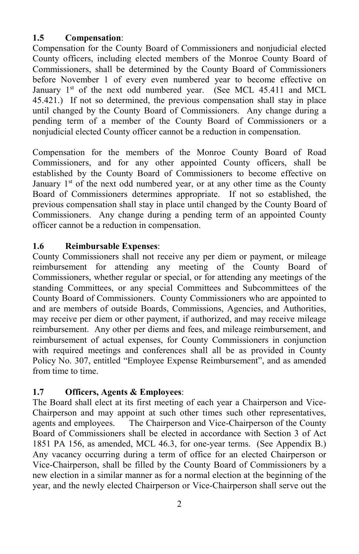### **1.5 Compensation**:

Compensation for the County Board of Commissioners and nonjudicial elected County officers, including elected members of the Monroe County Board of Commissioners, shall be determined by the County Board of Commissioners before November 1 of every even numbered year to become effective on January  $1<sup>st</sup>$  of the next odd numbered year. (See MCL 45.411 and MCL 45.421.) If not so determined, the previous compensation shall stay in place until changed by the County Board of Commissioners. Any change during a pending term of a member of the County Board of Commissioners or a nonjudicial elected County officer cannot be a reduction in compensation.

Compensation for the members of the Monroe County Board of Road Commissioners, and for any other appointed County officers, shall be established by the County Board of Commissioners to become effective on January  $1<sup>st</sup>$  of the next odd numbered year, or at any other time as the County Board of Commissioners determines appropriate. If not so established, the previous compensation shall stay in place until changed by the County Board of Commissioners. Any change during a pending term of an appointed County officer cannot be a reduction in compensation.

# **1.6 Reimbursable Expenses**:

County Commissioners shall not receive any per diem or payment, or mileage reimbursement for attending any meeting of the County Board of Commissioners, whether regular or special, or for attending any meetings of the standing Committees, or any special Committees and Subcommittees of the County Board of Commissioners. County Commissioners who are appointed to and are members of outside Boards, Commissions, Agencies, and Authorities, may receive per diem or other payment, if authorized, and may receive mileage reimbursement. Any other per diems and fees, and mileage reimbursement, and reimbursement of actual expenses, for County Commissioners in conjunction with required meetings and conferences shall all be as provided in County Policy No. 307, entitled "Employee Expense Reimbursement", and as amended from time to time.

# **1.7 Officers, Agents & Employees**:

The Board shall elect at its first meeting of each year a Chairperson and Vice-Chairperson and may appoint at such other times such other representatives, agents and employees. The Chairperson and Vice-Chairperson of the County Board of Commissioners shall be elected in accordance with Section 3 of Act 1851 PA 156, as amended, MCL 46.3, for one-year terms. (See Appendix B.) Any vacancy occurring during a term of office for an elected Chairperson or Vice-Chairperson, shall be filled by the County Board of Commissioners by a new election in a similar manner as for a normal election at the beginning of the year, and the newly elected Chairperson or Vice-Chairperson shall serve out the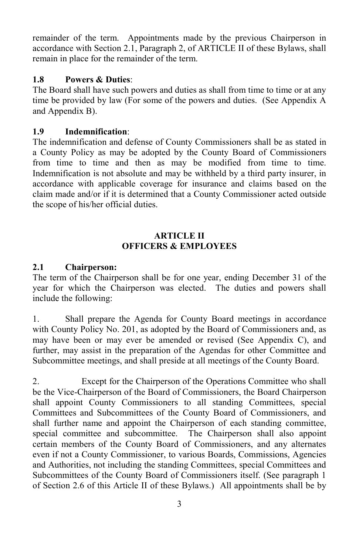remainder of the term. Appointments made by the previous Chairperson in accordance with Section 2.1, Paragraph 2, of ARTICLE II of these Bylaws, shall remain in place for the remainder of the term.

### **1.8 Powers & Duties**:

The Board shall have such powers and duties as shall from time to time or at any time be provided by law (For some of the powers and duties. (See Appendix A and Appendix B).

### **1.9 Indemnification**:

The indemnification and defense of County Commissioners shall be as stated in a County Policy as may be adopted by the County Board of Commissioners from time to time and then as may be modified from time to time. Indemnification is not absolute and may be withheld by a third party insurer, in accordance with applicable coverage for insurance and claims based on the claim made and/or if it is determined that a County Commissioner acted outside the scope of his/her official duties.

### **ARTICLE II OFFICERS & EMPLOYEES**

### **2.1 Chairperson:**

The term of the Chairperson shall be for one year, ending December 31 of the year for which the Chairperson was elected. The duties and powers shall include the following:

1. Shall prepare the Agenda for County Board meetings in accordance with County Policy No. 201, as adopted by the Board of Commissioners and, as may have been or may ever be amended or revised (See Appendix C), and further, may assist in the preparation of the Agendas for other Committee and Subcommittee meetings, and shall preside at all meetings of the County Board.

2. Except for the Chairperson of the Operations Committee who shall be the Vice-Chairperson of the Board of Commissioners, the Board Chairperson shall appoint County Commissioners to all standing Committees, special Committees and Subcommittees of the County Board of Commissioners, and shall further name and appoint the Chairperson of each standing committee, special committee and subcommittee. The Chairperson shall also appoint certain members of the County Board of Commissioners, and any alternates even if not a County Commissioner, to various Boards, Commissions, Agencies and Authorities, not including the standing Committees, special Committees and Subcommittees of the County Board of Commissioners itself. (See paragraph 1 of Section 2.6 of this Article II of these Bylaws.) All appointments shall be by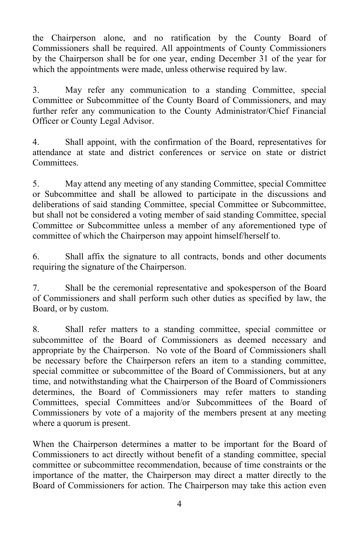the Chairperson alone, and no ratification by the County Board of Commissioners shall be required. All appointments of County Commissioners by the Chairperson shall be for one year, ending December 31 of the year for which the appointments were made, unless otherwise required by law.

3. May refer any communication to a standing Committee, special Committee or Subcommittee of the County Board of Commissioners, and may further refer any communication to the County Administrator/Chief Financial Officer or County Legal Advisor.

4. Shall appoint, with the confirmation of the Board, representatives for attendance at state and district conferences or service on state or district Committees.

5. May attend any meeting of any standing Committee, special Committee or Subcommittee and shall be allowed to participate in the discussions and deliberations of said standing Committee, special Committee or Subcommittee, but shall not be considered a voting member of said standing Committee, special Committee or Subcommittee unless a member of any aforementioned type of committee of which the Chairperson may appoint himself/herself to.

6. Shall affix the signature to all contracts, bonds and other documents requiring the signature of the Chairperson.

7. Shall be the ceremonial representative and spokesperson of the Board of Commissioners and shall perform such other duties as specified by law, the Board, or by custom.

8. Shall refer matters to a standing committee, special committee or subcommittee of the Board of Commissioners as deemed necessary and appropriate by the Chairperson. No vote of the Board of Commissioners shall be necessary before the Chairperson refers an item to a standing committee, special committee or subcommittee of the Board of Commissioners, but at any time, and notwithstanding what the Chairperson of the Board of Commissioners determines, the Board of Commissioners may refer matters to standing Committees, special Committees and/or Subcommittees of the Board of Commissioners by vote of a majority of the members present at any meeting where a quorum is present.

When the Chairperson determines a matter to be important for the Board of Commissioners to act directly without benefit of a standing committee, special committee or subcommittee recommendation, because of time constraints or the importance of the matter, the Chairperson may direct a matter directly to the Board of Commissioners for action. The Chairperson may take this action even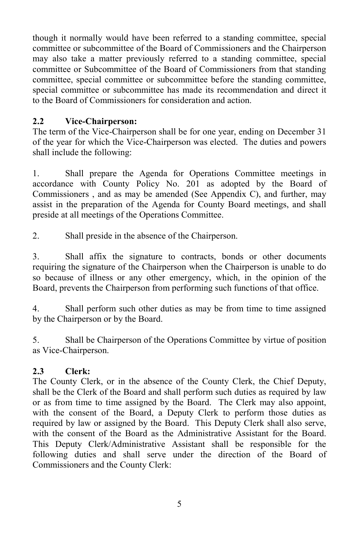though it normally would have been referred to a standing committee, special committee or subcommittee of the Board of Commissioners and the Chairperson may also take a matter previously referred to a standing committee, special committee or Subcommittee of the Board of Commissioners from that standing committee, special committee or subcommittee before the standing committee, special committee or subcommittee has made its recommendation and direct it to the Board of Commissioners for consideration and action.

### **2.2 Vice-Chairperson:**

The term of the Vice-Chairperson shall be for one year, ending on December 31 of the year for which the Vice-Chairperson was elected. The duties and powers shall include the following:

1. Shall prepare the Agenda for Operations Committee meetings in accordance with County Policy No. 201 as adopted by the Board of Commissioners , and as may be amended (See Appendix C), and further, may assist in the preparation of the Agenda for County Board meetings, and shall preside at all meetings of the Operations Committee.

2. Shall preside in the absence of the Chairperson.

3. Shall affix the signature to contracts, bonds or other documents requiring the signature of the Chairperson when the Chairperson is unable to do so because of illness or any other emergency, which, in the opinion of the Board, prevents the Chairperson from performing such functions of that office.

4. Shall perform such other duties as may be from time to time assigned by the Chairperson or by the Board.

5. Shall be Chairperson of the Operations Committee by virtue of position as Vice-Chairperson.

### **2.3 Clerk:**

The County Clerk, or in the absence of the County Clerk, the Chief Deputy, shall be the Clerk of the Board and shall perform such duties as required by law or as from time to time assigned by the Board. The Clerk may also appoint, with the consent of the Board, a Deputy Clerk to perform those duties as required by law or assigned by the Board. This Deputy Clerk shall also serve, with the consent of the Board as the Administrative Assistant for the Board. This Deputy Clerk/Administrative Assistant shall be responsible for the following duties and shall serve under the direction of the Board of Commissioners and the County Clerk: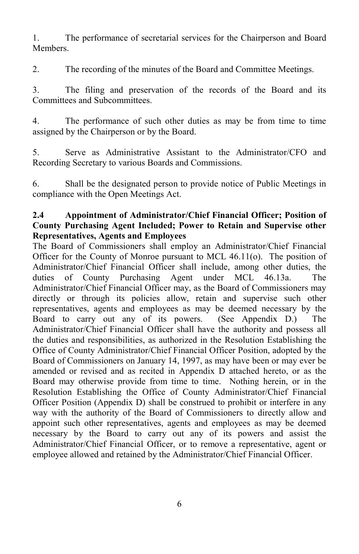1. The performance of secretarial services for the Chairperson and Board **Members** 

2. The recording of the minutes of the Board and Committee Meetings.

3. The filing and preservation of the records of the Board and its Committees and Subcommittees.

4. The performance of such other duties as may be from time to time assigned by the Chairperson or by the Board.

5. Serve as Administrative Assistant to the Administrator/CFO and Recording Secretary to various Boards and Commissions.

6. Shall be the designated person to provide notice of Public Meetings in compliance with the Open Meetings Act.

### **2.4 Appointment of Administrator/Chief Financial Officer; Position of County Purchasing Agent Included; Power to Retain and Supervise other Representatives, Agents and Employees**

The Board of Commissioners shall employ an Administrator/Chief Financial Officer for the County of Monroe pursuant to MCL 46.11(o). The position of Administrator/Chief Financial Officer shall include, among other duties, the duties of County Purchasing Agent under MCL 46.13a. The Administrator/Chief Financial Officer may, as the Board of Commissioners may directly or through its policies allow, retain and supervise such other representatives, agents and employees as may be deemed necessary by the Board to carry out any of its powers. (See Appendix D.) The Administrator/Chief Financial Officer shall have the authority and possess all the duties and responsibilities, as authorized in the Resolution Establishing the Office of County Administrator/Chief Financial Officer Position, adopted by the Board of Commissioners on January 14, 1997, as may have been or may ever be amended or revised and as recited in Appendix D attached hereto, or as the Board may otherwise provide from time to time. Nothing herein, or in the Resolution Establishing the Office of County Administrator/Chief Financial Officer Position (Appendix D) shall be construed to prohibit or interfere in any way with the authority of the Board of Commissioners to directly allow and appoint such other representatives, agents and employees as may be deemed necessary by the Board to carry out any of its powers and assist the Administrator/Chief Financial Officer, or to remove a representative, agent or employee allowed and retained by the Administrator/Chief Financial Officer.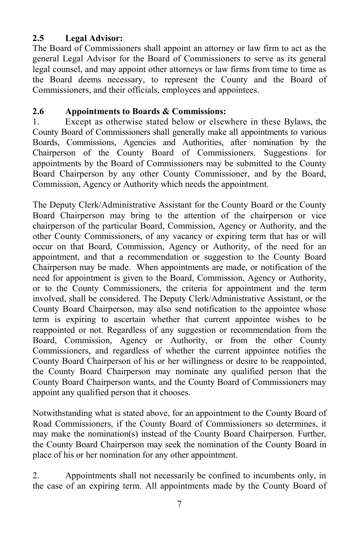### **2.5 Legal Advisor:**

The Board of Commissioners shall appoint an attorney or law firm to act as the general Legal Advisor for the Board of Commissioners to serve as its general legal counsel, and may appoint other attorneys or law firms from time to time as the Board deems necessary, to represent the County and the Board of Commissioners, and their officials, employees and appointees.

### **2.6 Appointments to Boards & Commissions:**

1. Except as otherwise stated below or elsewhere in these Bylaws, the County Board of Commissioners shall generally make all appointments to various Boards, Commissions, Agencies and Authorities, after nomination by the Chairperson of the County Board of Commissioners. Suggestions for appointments by the Board of Commissioners may be submitted to the County Board Chairperson by any other County Commissioner, and by the Board, Commission, Agency or Authority which needs the appointment.

The Deputy Clerk/Administrative Assistant for the County Board or the County Board Chairperson may bring to the attention of the chairperson or vice chairperson of the particular Board, Commission, Agency or Authority, and the other County Commissioners, of any vacancy or expiring term that has or will occur on that Board, Commission, Agency or Authority, of the need for an appointment, and that a recommendation or suggestion to the County Board Chairperson may be made. When appointments are made, or notification of the need for appointment is given to the Board, Commission, Agency or Authority, or to the County Commissioners, the criteria for appointment and the term involved, shall be considered. The Deputy Clerk/Administrative Assistant, or the County Board Chairperson, may also send notification to the appointee whose term is expiring to ascertain whether that current appointee wishes to be reappointed or not. Regardless of any suggestion or recommendation from the Board, Commission, Agency or Authority, or from the other County Commissioners, and regardless of whether the current appointee notifies the County Board Chairperson of his or her willingness or desire to be reappointed, the County Board Chairperson may nominate any qualified person that the County Board Chairperson wants, and the County Board of Commissioners may appoint any qualified person that it chooses.

Notwithstanding what is stated above, for an appointment to the County Board of Road Commissioners, if the County Board of Commissioners so determines, it may make the nomination(s) instead of the County Board Chairperson. Further, the County Board Chairperson may seek the nomination of the County Board in place of his or her nomination for any other appointment.

2. Appointments shall not necessarily be confined to incumbents only, in the case of an expiring term. All appointments made by the County Board of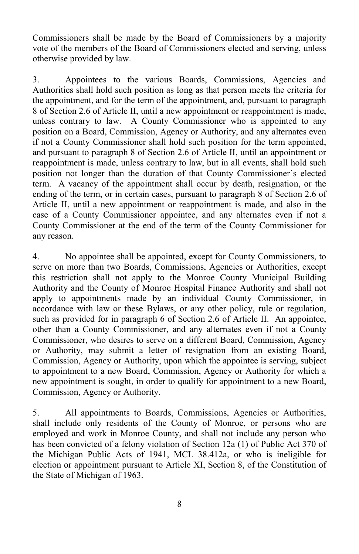Commissioners shall be made by the Board of Commissioners by a majority vote of the members of the Board of Commissioners elected and serving, unless otherwise provided by law.

3. Appointees to the various Boards, Commissions, Agencies and Authorities shall hold such position as long as that person meets the criteria for the appointment, and for the term of the appointment, and, pursuant to paragraph 8 of Section 2.6 of Article II, until a new appointment or reappointment is made, unless contrary to law. A County Commissioner who is appointed to any position on a Board, Commission, Agency or Authority, and any alternates even if not a County Commissioner shall hold such position for the term appointed, and pursuant to paragraph 8 of Section 2.6 of Article II, until an appointment or reappointment is made, unless contrary to law, but in all events, shall hold such position not longer than the duration of that County Commissioner's elected term. A vacancy of the appointment shall occur by death, resignation, or the ending of the term, or in certain cases, pursuant to paragraph 8 of Section 2.6 of Article II, until a new appointment or reappointment is made, and also in the case of a County Commissioner appointee, and any alternates even if not a County Commissioner at the end of the term of the County Commissioner for any reason.

4. No appointee shall be appointed, except for County Commissioners, to serve on more than two Boards, Commissions, Agencies or Authorities, except this restriction shall not apply to the Monroe County Municipal Building Authority and the County of Monroe Hospital Finance Authority and shall not apply to appointments made by an individual County Commissioner, in accordance with law or these Bylaws, or any other policy, rule or regulation, such as provided for in paragraph 6 of Section 2.6 of Article II. An appointee, other than a County Commissioner, and any alternates even if not a County Commissioner, who desires to serve on a different Board, Commission, Agency or Authority, may submit a letter of resignation from an existing Board, Commission, Agency or Authority, upon which the appointee is serving, subject to appointment to a new Board, Commission, Agency or Authority for which a new appointment is sought, in order to qualify for appointment to a new Board, Commission, Agency or Authority.

5. All appointments to Boards, Commissions, Agencies or Authorities, shall include only residents of the County of Monroe, or persons who are employed and work in Monroe County, and shall not include any person who has been convicted of a felony violation of Section 12a (1) of Public Act 370 of the Michigan Public Acts of 1941, MCL 38.412a, or who is ineligible for election or appointment pursuant to Article XI, Section 8, of the Constitution of the State of Michigan of 1963.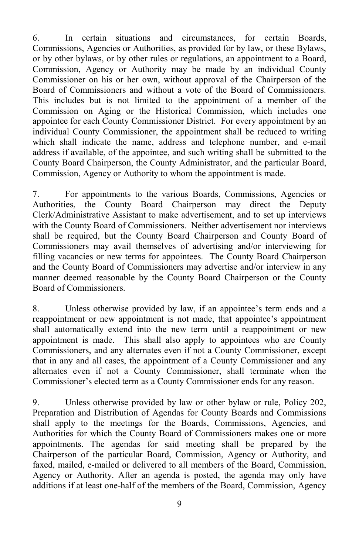6. In certain situations and circumstances, for certain Boards, Commissions, Agencies or Authorities, as provided for by law, or these Bylaws, or by other bylaws, or by other rules or regulations, an appointment to a Board, Commission, Agency or Authority may be made by an individual County Commissioner on his or her own, without approval of the Chairperson of the Board of Commissioners and without a vote of the Board of Commissioners. This includes but is not limited to the appointment of a member of the Commission on Aging or the Historical Commission, which includes one appointee for each County Commissioner District. For every appointment by an individual County Commissioner, the appointment shall be reduced to writing which shall indicate the name, address and telephone number, and e-mail address if available, of the appointee, and such writing shall be submitted to the County Board Chairperson, the County Administrator, and the particular Board, Commission, Agency or Authority to whom the appointment is made.

7. For appointments to the various Boards, Commissions, Agencies or Authorities, the County Board Chairperson may direct the Deputy Clerk/Administrative Assistant to make advertisement, and to set up interviews with the County Board of Commissioners. Neither advertisement nor interviews shall be required, but the County Board Chairperson and County Board of Commissioners may avail themselves of advertising and/or interviewing for filling vacancies or new terms for appointees. The County Board Chairperson and the County Board of Commissioners may advertise and/or interview in any manner deemed reasonable by the County Board Chairperson or the County Board of Commissioners.

8. Unless otherwise provided by law, if an appointee's term ends and a reappointment or new appointment is not made, that appointee's appointment shall automatically extend into the new term until a reappointment or new appointment is made. This shall also apply to appointees who are County Commissioners, and any alternates even if not a County Commissioner, except that in any and all cases, the appointment of a County Commissioner and any alternates even if not a County Commissioner, shall terminate when the Commissioner's elected term as a County Commissioner ends for any reason.

9. Unless otherwise provided by law or other bylaw or rule, Policy 202, Preparation and Distribution of Agendas for County Boards and Commissions shall apply to the meetings for the Boards, Commissions, Agencies, and Authorities for which the County Board of Commissioners makes one or more appointments. The agendas for said meeting shall be prepared by the Chairperson of the particular Board, Commission, Agency or Authority, and faxed, mailed, e-mailed or delivered to all members of the Board, Commission, Agency or Authority. After an agenda is posted, the agenda may only have additions if at least one-half of the members of the Board, Commission, Agency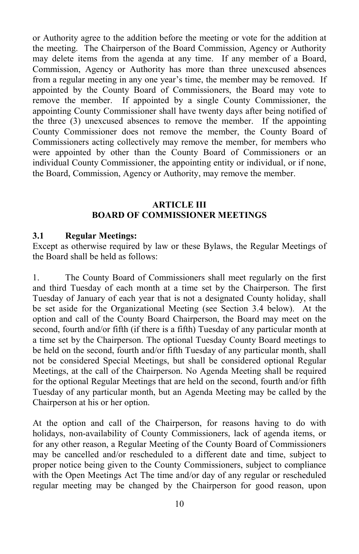or Authority agree to the addition before the meeting or vote for the addition at the meeting. The Chairperson of the Board Commission, Agency or Authority may delete items from the agenda at any time. If any member of a Board, Commission, Agency or Authority has more than three unexcused absences from a regular meeting in any one year's time, the member may be removed. If appointed by the County Board of Commissioners, the Board may vote to remove the member. If appointed by a single County Commissioner, the appointing County Commissioner shall have twenty days after being notified of the three (3) unexcused absences to remove the member. If the appointing County Commissioner does not remove the member, the County Board of Commissioners acting collectively may remove the member, for members who were appointed by other than the County Board of Commissioners or an individual County Commissioner, the appointing entity or individual, or if none, the Board, Commission, Agency or Authority, may remove the member.

#### **ARTICLE III BOARD OF COMMISSIONER MEETINGS**

#### **3.1 Regular Meetings:**

Except as otherwise required by law or these Bylaws, the Regular Meetings of the Board shall be held as follows:

1. The County Board of Commissioners shall meet regularly on the first and third Tuesday of each month at a time set by the Chairperson. The first Tuesday of January of each year that is not a designated County holiday, shall be set aside for the Organizational Meeting (see Section 3.4 below). At the option and call of the County Board Chairperson, the Board may meet on the second, fourth and/or fifth (if there is a fifth) Tuesday of any particular month at a time set by the Chairperson. The optional Tuesday County Board meetings to be held on the second, fourth and/or fifth Tuesday of any particular month, shall not be considered Special Meetings, but shall be considered optional Regular Meetings, at the call of the Chairperson. No Agenda Meeting shall be required for the optional Regular Meetings that are held on the second, fourth and/or fifth Tuesday of any particular month, but an Agenda Meeting may be called by the Chairperson at his or her option.

At the option and call of the Chairperson, for reasons having to do with holidays, non-availability of County Commissioners, lack of agenda items, or for any other reason, a Regular Meeting of the County Board of Commissioners may be cancelled and/or rescheduled to a different date and time, subject to proper notice being given to the County Commissioners, subject to compliance with the Open Meetings Act The time and/or day of any regular or rescheduled regular meeting may be changed by the Chairperson for good reason, upon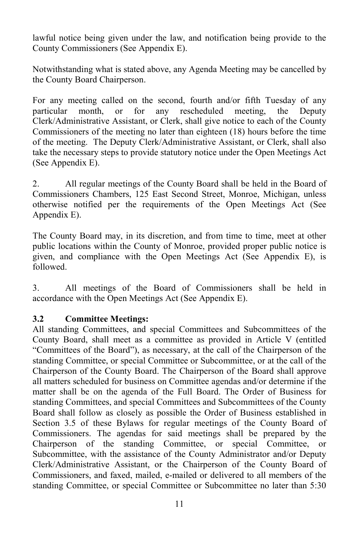lawful notice being given under the law, and notification being provide to the County Commissioners (See Appendix E).

Notwithstanding what is stated above, any Agenda Meeting may be cancelled by the County Board Chairperson.

For any meeting called on the second, fourth and/or fifth Tuesday of any particular month, or for any rescheduled meeting, the Deputy Clerk/Administrative Assistant, or Clerk, shall give notice to each of the County Commissioners of the meeting no later than eighteen (18) hours before the time of the meeting. The Deputy Clerk/Administrative Assistant, or Clerk, shall also take the necessary steps to provide statutory notice under the Open Meetings Act (See Appendix E).

2. All regular meetings of the County Board shall be held in the Board of Commissioners Chambers, 125 East Second Street, Monroe, Michigan, unless otherwise notified per the requirements of the Open Meetings Act (See Appendix E).

The County Board may, in its discretion, and from time to time, meet at other public locations within the County of Monroe, provided proper public notice is given, and compliance with the Open Meetings Act (See Appendix E), is followed.

3. All meetings of the Board of Commissioners shall be held in accordance with the Open Meetings Act (See Appendix E).

#### **3.2 Committee Meetings:**

All standing Committees, and special Committees and Subcommittees of the County Board, shall meet as a committee as provided in Article V (entitled "Committees of the Board"), as necessary, at the call of the Chairperson of the standing Committee, or special Committee or Subcommittee, or at the call of the Chairperson of the County Board. The Chairperson of the Board shall approve all matters scheduled for business on Committee agendas and/or determine if the matter shall be on the agenda of the Full Board. The Order of Business for standing Committees, and special Committees and Subcommittees of the County Board shall follow as closely as possible the Order of Business established in Section 3.5 of these Bylaws for regular meetings of the County Board of Commissioners. The agendas for said meetings shall be prepared by the Chairperson of the standing Committee, or special Committee, or Subcommittee, with the assistance of the County Administrator and/or Deputy Clerk/Administrative Assistant, or the Chairperson of the County Board of Commissioners, and faxed, mailed, e-mailed or delivered to all members of the standing Committee, or special Committee or Subcommittee no later than 5:30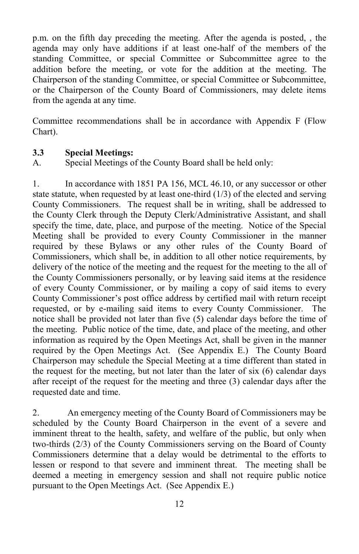p.m. on the fifth day preceding the meeting. After the agenda is posted, , the agenda may only have additions if at least one-half of the members of the standing Committee, or special Committee or Subcommittee agree to the addition before the meeting, or vote for the addition at the meeting. The Chairperson of the standing Committee, or special Committee or Subcommittee, or the Chairperson of the County Board of Commissioners, may delete items from the agenda at any time.

Committee recommendations shall be in accordance with Appendix F (Flow Chart).

#### **3.3 Special Meetings:**

A. Special Meetings of the County Board shall be held only:

1. In accordance with 1851 PA 156, MCL 46.10, or any successor or other state statute, when requested by at least one-third  $(1/3)$  of the elected and serving County Commissioners. The request shall be in writing, shall be addressed to the County Clerk through the Deputy Clerk/Administrative Assistant, and shall specify the time, date, place, and purpose of the meeting. Notice of the Special Meeting shall be provided to every County Commissioner in the manner required by these Bylaws or any other rules of the County Board of Commissioners, which shall be, in addition to all other notice requirements, by delivery of the notice of the meeting and the request for the meeting to the all of the County Commissioners personally, or by leaving said items at the residence of every County Commissioner, or by mailing a copy of said items to every County Commissioner's post office address by certified mail with return receipt requested, or by e-mailing said items to every County Commissioner. The notice shall be provided not later than five (5) calendar days before the time of the meeting. Public notice of the time, date, and place of the meeting, and other information as required by the Open Meetings Act, shall be given in the manner required by the Open Meetings Act. (See Appendix E.) The County Board Chairperson may schedule the Special Meeting at a time different than stated in the request for the meeting, but not later than the later of six (6) calendar days after receipt of the request for the meeting and three (3) calendar days after the requested date and time.

2. An emergency meeting of the County Board of Commissioners may be scheduled by the County Board Chairperson in the event of a severe and imminent threat to the health, safety, and welfare of the public, but only when two-thirds (2/3) of the County Commissioners serving on the Board of County Commissioners determine that a delay would be detrimental to the efforts to lessen or respond to that severe and imminent threat. The meeting shall be deemed a meeting in emergency session and shall not require public notice pursuant to the Open Meetings Act. (See Appendix E.)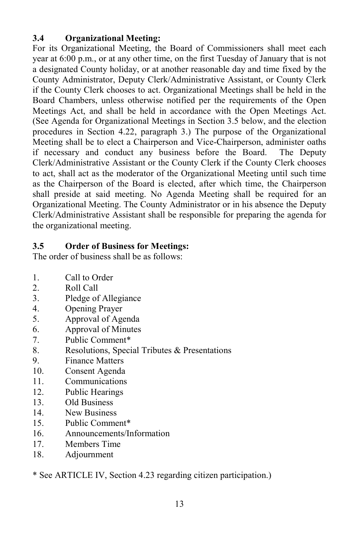### **3.4 Organizational Meeting:**

For its Organizational Meeting, the Board of Commissioners shall meet each year at 6:00 p.m., or at any other time, on the first Tuesday of January that is not a designated County holiday, or at another reasonable day and time fixed by the County Administrator, Deputy Clerk/Administrative Assistant, or County Clerk if the County Clerk chooses to act. Organizational Meetings shall be held in the Board Chambers, unless otherwise notified per the requirements of the Open Meetings Act, and shall be held in accordance with the Open Meetings Act. (See Agenda for Organizational Meetings in Section 3.5 below, and the election procedures in Section 4.22, paragraph 3.) The purpose of the Organizational Meeting shall be to elect a Chairperson and Vice-Chairperson, administer oaths if necessary and conduct any business before the Board. The Deputy Clerk/Administrative Assistant or the County Clerk if the County Clerk chooses to act, shall act as the moderator of the Organizational Meeting until such time as the Chairperson of the Board is elected, after which time, the Chairperson shall preside at said meeting. No Agenda Meeting shall be required for an Organizational Meeting. The County Administrator or in his absence the Deputy Clerk/Administrative Assistant shall be responsible for preparing the agenda for the organizational meeting.

### **3.5 Order of Business for Meetings:**

The order of business shall be as follows:

- 1. Call to Order
- 2. Roll Call
- 3. Pledge of Allegiance
- 4. Opening Prayer
- 5. Approval of Agenda
- 6. Approval of Minutes
- 7. Public Comment\*
- 8. Resolutions, Special Tributes & Presentations
- 9. Finance Matters
- 10. Consent Agenda
- 11. Communications
- 12. Public Hearings
- 13. Old Business
- 14. New Business
- 15. Public Comment\*
- 16. Announcements/Information
- 17. Members Time
- 18. Adjournment

\* See ARTICLE IV, Section 4.23 regarding citizen participation.)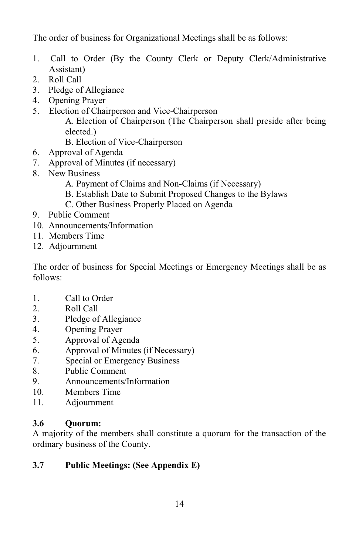The order of business for Organizational Meetings shall be as follows:

- 1. Call to Order (By the County Clerk or Deputy Clerk/Administrative Assistant)
- 2. Roll Call
- 3. Pledge of Allegiance
- 4. Opening Prayer
- 5. Election of Chairperson and Vice-Chairperson A. Election of Chairperson (The Chairperson shall preside after being elected.)
	- B. Election of Vice-Chairperson
- 6. Approval of Agenda
- 7. Approval of Minutes (if necessary)
- 8. New Business
	- A. Payment of Claims and Non-Claims (if Necessary)
	- B. Establish Date to Submit Proposed Changes to the Bylaws
	- C. Other Business Properly Placed on Agenda
- 9. Public Comment
- 10. Announcements/Information
- 11. Members Time
- 12. Adjournment

The order of business for Special Meetings or Emergency Meetings shall be as follows:

- 1. Call to Order
- 2. Roll Call
- 3. Pledge of Allegiance
- 4. Opening Prayer
- 5. Approval of Agenda
- 6. Approval of Minutes (if Necessary)
- 7. Special or Emergency Business
- 8. Public Comment
- 9. Announcements/Information
- 10. Members Time
- 11. Adjournment

### **3.6 Quorum:**

A majority of the members shall constitute a quorum for the transaction of the ordinary business of the County.

# **3.7 Public Meetings: (See Appendix E)**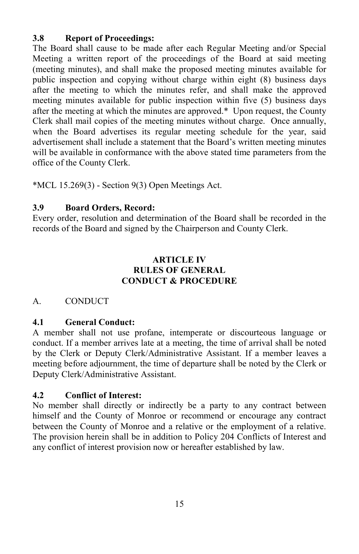### **3.8 Report of Proceedings:**

The Board shall cause to be made after each Regular Meeting and/or Special Meeting a written report of the proceedings of the Board at said meeting (meeting minutes), and shall make the proposed meeting minutes available for public inspection and copying without charge within eight (8) business days after the meeting to which the minutes refer, and shall make the approved meeting minutes available for public inspection within five (5) business days after the meeting at which the minutes are approved.\* Upon request, the County Clerk shall mail copies of the meeting minutes without charge. Once annually, when the Board advertises its regular meeting schedule for the year, said advertisement shall include a statement that the Board's written meeting minutes will be available in conformance with the above stated time parameters from the office of the County Clerk.

\*MCL 15.269(3) - Section 9(3) Open Meetings Act.

# **3.9 Board Orders, Record:**

Every order, resolution and determination of the Board shall be recorded in the records of the Board and signed by the Chairperson and County Clerk.

### **ARTICLE IV RULES OF GENERAL CONDUCT & PROCEDURE**

# A. CONDUCT

# **4.1 General Conduct:**

A member shall not use profane, intemperate or discourteous language or conduct. If a member arrives late at a meeting, the time of arrival shall be noted by the Clerk or Deputy Clerk/Administrative Assistant. If a member leaves a meeting before adjournment, the time of departure shall be noted by the Clerk or Deputy Clerk/Administrative Assistant.

### **4.2 Conflict of Interest:**

No member shall directly or indirectly be a party to any contract between himself and the County of Monroe or recommend or encourage any contract between the County of Monroe and a relative or the employment of a relative. The provision herein shall be in addition to Policy 204 Conflicts of Interest and any conflict of interest provision now or hereafter established by law.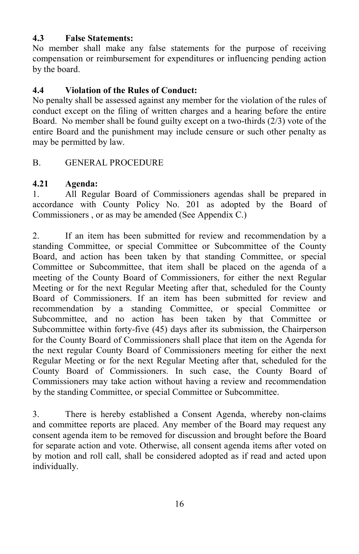### **4.3 False Statements:**

No member shall make any false statements for the purpose of receiving compensation or reimbursement for expenditures or influencing pending action by the board.

# **4.4 Violation of the Rules of Conduct:**

No penalty shall be assessed against any member for the violation of the rules of conduct except on the filing of written charges and a hearing before the entire Board. No member shall be found guilty except on a two-thirds (2/3) vote of the entire Board and the punishment may include censure or such other penalty as may be permitted by law.

# B. GENERAL PROCEDURE

### **4.21 Agenda:**

1. All Regular Board of Commissioners agendas shall be prepared in accordance with County Policy No. 201 as adopted by the Board of Commissioners , or as may be amended (See Appendix C.)

2. If an item has been submitted for review and recommendation by a standing Committee, or special Committee or Subcommittee of the County Board, and action has been taken by that standing Committee, or special Committee or Subcommittee, that item shall be placed on the agenda of a meeting of the County Board of Commissioners, for either the next Regular Meeting or for the next Regular Meeting after that, scheduled for the County Board of Commissioners. If an item has been submitted for review and recommendation by a standing Committee, or special Committee or Subcommittee, and no action has been taken by that Committee or Subcommittee within forty-five (45) days after its submission, the Chairperson for the County Board of Commissioners shall place that item on the Agenda for the next regular County Board of Commissioners meeting for either the next Regular Meeting or for the next Regular Meeting after that, scheduled for the County Board of Commissioners. In such case, the County Board of Commissioners may take action without having a review and recommendation by the standing Committee, or special Committee or Subcommittee.

3. There is hereby established a Consent Agenda, whereby non-claims and committee reports are placed. Any member of the Board may request any consent agenda item to be removed for discussion and brought before the Board for separate action and vote. Otherwise, all consent agenda items after voted on by motion and roll call, shall be considered adopted as if read and acted upon individually.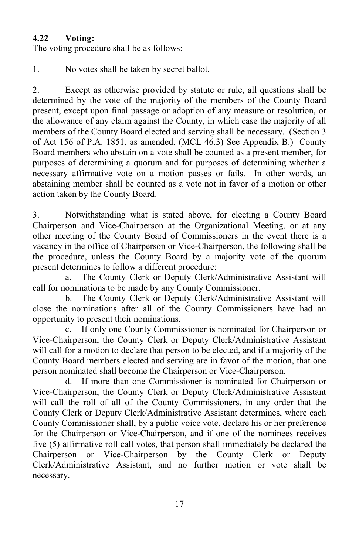### **4.22 Voting:**

The voting procedure shall be as follows:

1. No votes shall be taken by secret ballot.

2. Except as otherwise provided by statute or rule, all questions shall be determined by the vote of the majority of the members of the County Board present, except upon final passage or adoption of any measure or resolution, or the allowance of any claim against the County, in which case the majority of all members of the County Board elected and serving shall be necessary. (Section 3 of Act 156 of P.A. 1851, as amended, (MCL 46.3) See Appendix B.) County Board members who abstain on a vote shall be counted as a present member, for purposes of determining a quorum and for purposes of determining whether a necessary affirmative vote on a motion passes or fails. In other words, an abstaining member shall be counted as a vote not in favor of a motion or other action taken by the County Board.

3. Notwithstanding what is stated above, for electing a County Board Chairperson and Vice-Chairperson at the Organizational Meeting, or at any other meeting of the County Board of Commissioners in the event there is a vacancy in the office of Chairperson or Vice-Chairperson, the following shall be the procedure, unless the County Board by a majority vote of the quorum present determines to follow a different procedure:

a. The County Clerk or Deputy Clerk/Administrative Assistant will call for nominations to be made by any County Commissioner.

b. The County Clerk or Deputy Clerk/Administrative Assistant will close the nominations after all of the County Commissioners have had an opportunity to present their nominations.

c. If only one County Commissioner is nominated for Chairperson or Vice-Chairperson, the County Clerk or Deputy Clerk/Administrative Assistant will call for a motion to declare that person to be elected, and if a majority of the County Board members elected and serving are in favor of the motion, that one person nominated shall become the Chairperson or Vice-Chairperson.

d. If more than one Commissioner is nominated for Chairperson or Vice-Chairperson, the County Clerk or Deputy Clerk/Administrative Assistant will call the roll of all of the County Commissioners, in any order that the County Clerk or Deputy Clerk/Administrative Assistant determines, where each County Commissioner shall, by a public voice vote, declare his or her preference for the Chairperson or Vice-Chairperson, and if one of the nominees receives five (5) affirmative roll call votes, that person shall immediately be declared the Chairperson or Vice-Chairperson by the County Clerk or Deputy Clerk/Administrative Assistant, and no further motion or vote shall be necessary.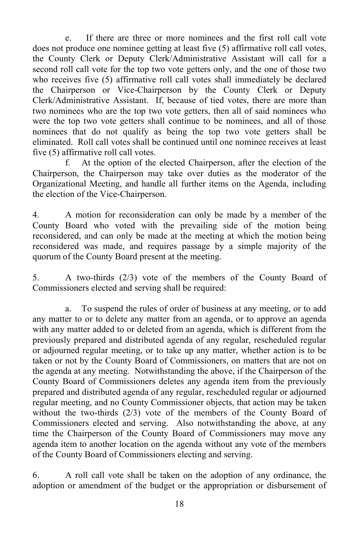e. If there are three or more nominees and the first roll call vote does not produce one nominee getting at least five (5) affirmative roll call votes, the County Clerk or Deputy Clerk/Administrative Assistant will call for a second roll call vote for the top two vote getters only, and the one of those two who receives five (5) affirmative roll call votes shall immediately be declared the Chairperson or Vice-Chairperson by the County Clerk or Deputy Clerk/Administrative Assistant. If, because of tied votes, there are more than two nominees who are the top two vote getters, then all of said nominees who were the top two vote getters shall continue to be nominees, and all of those nominees that do not qualify as being the top two vote getters shall be eliminated. Roll call votes shall be continued until one nominee receives at least five (5) affirmative roll call votes.

f. At the option of the elected Chairperson, after the election of the Chairperson, the Chairperson may take over duties as the moderator of the Organizational Meeting, and handle all further items on the Agenda, including the election of the Vice-Chairperson.

4. A motion for reconsideration can only be made by a member of the County Board who voted with the prevailing side of the motion being reconsidered, and can only be made at the meeting at which the motion being reconsidered was made, and requires passage by a simple majority of the quorum of the County Board present at the meeting.

5. A two-thirds (2/3) vote of the members of the County Board of Commissioners elected and serving shall be required:

a. To suspend the rules of order of business at any meeting, or to add any matter to or to delete any matter from an agenda, or to approve an agenda with any matter added to or deleted from an agenda, which is different from the previously prepared and distributed agenda of any regular, rescheduled regular or adjourned regular meeting, or to take up any matter, whether action is to be taken or not by the County Board of Commissioners, on matters that are not on the agenda at any meeting. Notwithstanding the above, if the Chairperson of the County Board of Commissioners deletes any agenda item from the previously prepared and distributed agenda of any regular, rescheduled regular or adjourned regular meeting, and no County Commissioner objects, that action may be taken without the two-thirds (2/3) vote of the members of the County Board of Commissioners elected and serving. Also notwithstanding the above, at any time the Chairperson of the County Board of Commissioners may move any agenda item to another location on the agenda without any vote of the members of the County Board of Commissioners electing and serving.

6. A roll call vote shall be taken on the adoption of any ordinance, the adoption or amendment of the budget or the appropriation or disbursement of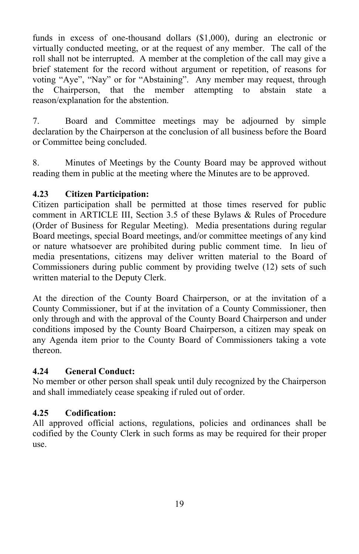funds in excess of one-thousand dollars (\$1,000), during an electronic or virtually conducted meeting, or at the request of any member. The call of the roll shall not be interrupted. A member at the completion of the call may give a brief statement for the record without argument or repetition, of reasons for voting "Aye", "Nay" or for "Abstaining". Any member may request, through the Chairperson, that the member attempting to abstain state a reason/explanation for the abstention.

7. Board and Committee meetings may be adjourned by simple declaration by the Chairperson at the conclusion of all business before the Board or Committee being concluded.

8. Minutes of Meetings by the County Board may be approved without reading them in public at the meeting where the Minutes are to be approved.

# **4.23 Citizen Participation:**

Citizen participation shall be permitted at those times reserved for public comment in ARTICLE III, Section 3.5 of these Bylaws & Rules of Procedure (Order of Business for Regular Meeting). Media presentations during regular Board meetings, special Board meetings, and/or committee meetings of any kind or nature whatsoever are prohibited during public comment time. In lieu of media presentations, citizens may deliver written material to the Board of Commissioners during public comment by providing twelve (12) sets of such written material to the Deputy Clerk.

At the direction of the County Board Chairperson, or at the invitation of a County Commissioner, but if at the invitation of a County Commissioner, then only through and with the approval of the County Board Chairperson and under conditions imposed by the County Board Chairperson, a citizen may speak on any Agenda item prior to the County Board of Commissioners taking a vote thereon.

### **4.24 General Conduct:**

No member or other person shall speak until duly recognized by the Chairperson and shall immediately cease speaking if ruled out of order.

# **4.25 Codification:**

All approved official actions, regulations, policies and ordinances shall be codified by the County Clerk in such forms as may be required for their proper use.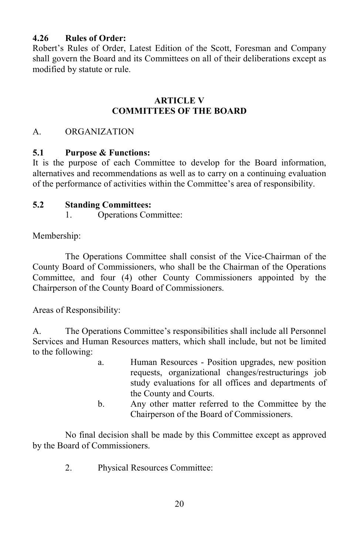### **4.26 Rules of Order:**

Robert's Rules of Order, Latest Edition of the Scott, Foresman and Company shall govern the Board and its Committees on all of their deliberations except as modified by statute or rule.

#### **ARTICLE V COMMITTEES OF THE BOARD**

### A. ORGANIZATION

### **5.1 Purpose & Functions:**

It is the purpose of each Committee to develop for the Board information, alternatives and recommendations as well as to carry on a continuing evaluation of the performance of activities within the Committee's area of responsibility.

### **5.2 Standing Committees:**

1. Operations Committee:

Membership:

The Operations Committee shall consist of the Vice-Chairman of the County Board of Commissioners, who shall be the Chairman of the Operations Committee, and four (4) other County Commissioners appointed by the Chairperson of the County Board of Commissioners.

Areas of Responsibility:

A. The Operations Committee's responsibilities shall include all Personnel Services and Human Resources matters, which shall include, but not be limited to the following:

- a. Human Resources Position upgrades, new position requests, organizational changes/restructurings job study evaluations for all offices and departments of the County and Courts.
- b. Any other matter referred to the Committee by the Chairperson of the Board of Commissioners.

No final decision shall be made by this Committee except as approved by the Board of Commissioners.

2. Physical Resources Committee: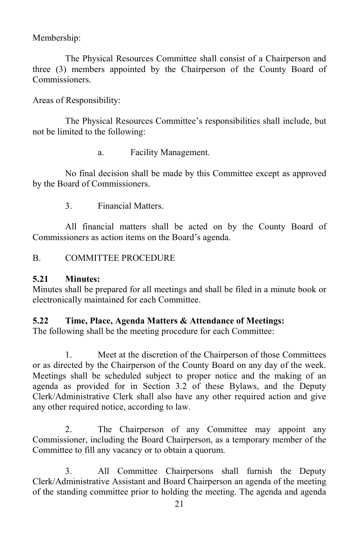Membership:

The Physical Resources Committee shall consist of a Chairperson and three (3) members appointed by the Chairperson of the County Board of Commissioners.

Areas of Responsibility:

The Physical Resources Committee's responsibilities shall include, but not be limited to the following:

a. Facility Management.

No final decision shall be made by this Committee except as approved by the Board of Commissioners.

3. Financial Matters.

All financial matters shall be acted on by the County Board of Commissioners as action items on the Board's agenda.

B. COMMITTEE PROCEDURE

#### **5.21 Minutes:**

Minutes shall be prepared for all meetings and shall be filed in a minute book or electronically maintained for each Committee.

#### **5.22 Time, Place, Agenda Matters & Attendance of Meetings:**

The following shall be the meeting procedure for each Committee:

1. Meet at the discretion of the Chairperson of those Committees or as directed by the Chairperson of the County Board on any day of the week. Meetings shall be scheduled subject to proper notice and the making of an agenda as provided for in Section 3.2 of these Bylaws, and the Deputy Clerk/Administrative Clerk shall also have any other required action and give any other required notice, according to law.

2. The Chairperson of any Committee may appoint any Commissioner, including the Board Chairperson, as a temporary member of the Committee to fill any vacancy or to obtain a quorum.

3. All Committee Chairpersons shall furnish the Deputy Clerk/Administrative Assistant and Board Chairperson an agenda of the meeting of the standing committee prior to holding the meeting. The agenda and agenda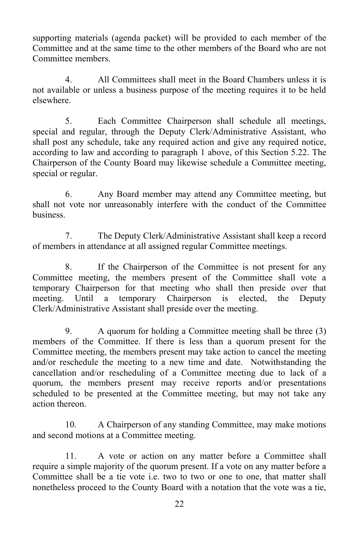supporting materials (agenda packet) will be provided to each member of the Committee and at the same time to the other members of the Board who are not Committee members.

4. All Committees shall meet in the Board Chambers unless it is not available or unless a business purpose of the meeting requires it to be held elsewhere.

5. Each Committee Chairperson shall schedule all meetings, special and regular, through the Deputy Clerk/Administrative Assistant, who shall post any schedule, take any required action and give any required notice, according to law and according to paragraph 1 above, of this Section 5.22. The Chairperson of the County Board may likewise schedule a Committee meeting, special or regular.

6. Any Board member may attend any Committee meeting, but shall not vote nor unreasonably interfere with the conduct of the Committee business.

7. The Deputy Clerk/Administrative Assistant shall keep a record of members in attendance at all assigned regular Committee meetings.

8. If the Chairperson of the Committee is not present for any Committee meeting, the members present of the Committee shall vote a temporary Chairperson for that meeting who shall then preside over that meeting. Until a temporary Chairperson is elected, the Deputy Clerk/Administrative Assistant shall preside over the meeting.

9. A quorum for holding a Committee meeting shall be three (3) members of the Committee. If there is less than a quorum present for the Committee meeting, the members present may take action to cancel the meeting and/or reschedule the meeting to a new time and date. Notwithstanding the cancellation and/or rescheduling of a Committee meeting due to lack of a quorum, the members present may receive reports and/or presentations scheduled to be presented at the Committee meeting, but may not take any action thereon.

10. A Chairperson of any standing Committee, may make motions and second motions at a Committee meeting.

11. A vote or action on any matter before a Committee shall require a simple majority of the quorum present. If a vote on any matter before a Committee shall be a tie vote i.e. two to two or one to one, that matter shall nonetheless proceed to the County Board with a notation that the vote was a tie,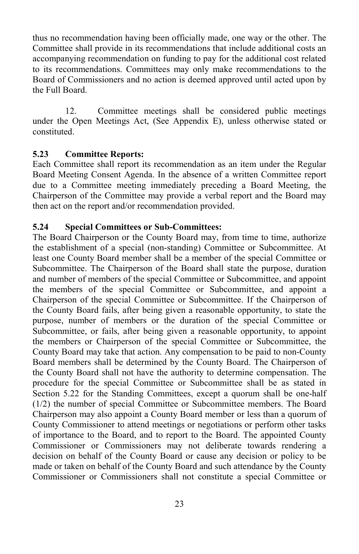thus no recommendation having been officially made, one way or the other. The Committee shall provide in its recommendations that include additional costs an accompanying recommendation on funding to pay for the additional cost related to its recommendations. Committees may only make recommendations to the Board of Commissioners and no action is deemed approved until acted upon by the Full Board.

12. Committee meetings shall be considered public meetings under the Open Meetings Act, (See Appendix E), unless otherwise stated or constituted.

#### **5.23 Committee Reports:**

Each Committee shall report its recommendation as an item under the Regular Board Meeting Consent Agenda. In the absence of a written Committee report due to a Committee meeting immediately preceding a Board Meeting, the Chairperson of the Committee may provide a verbal report and the Board may then act on the report and/or recommendation provided.

#### **5.24 Special Committees or Sub-Committees:**

The Board Chairperson or the County Board may, from time to time, authorize the establishment of a special (non-standing) Committee or Subcommittee. At least one County Board member shall be a member of the special Committee or Subcommittee. The Chairperson of the Board shall state the purpose, duration and number of members of the special Committee or Subcommittee, and appoint the members of the special Committee or Subcommittee, and appoint a Chairperson of the special Committee or Subcommittee. If the Chairperson of the County Board fails, after being given a reasonable opportunity, to state the purpose, number of members or the duration of the special Committee or Subcommittee, or fails, after being given a reasonable opportunity, to appoint the members or Chairperson of the special Committee or Subcommittee, the County Board may take that action. Any compensation to be paid to non-County Board members shall be determined by the County Board. The Chairperson of the County Board shall not have the authority to determine compensation. The procedure for the special Committee or Subcommittee shall be as stated in Section 5.22 for the Standing Committees, except a quorum shall be one-half (1/2) the number of special Committee or Subcommittee members. The Board Chairperson may also appoint a County Board member or less than a quorum of County Commissioner to attend meetings or negotiations or perform other tasks of importance to the Board, and to report to the Board. The appointed County Commissioner or Commissioners may not deliberate towards rendering a decision on behalf of the County Board or cause any decision or policy to be made or taken on behalf of the County Board and such attendance by the County Commissioner or Commissioners shall not constitute a special Committee or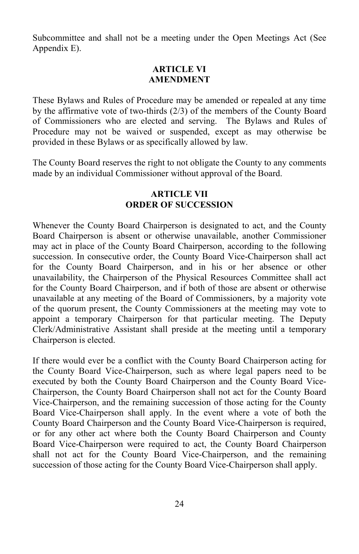Subcommittee and shall not be a meeting under the Open Meetings Act (See Appendix E).

#### **ARTICLE VI AMENDMENT**

These Bylaws and Rules of Procedure may be amended or repealed at any time by the affirmative vote of two-thirds (2/3) of the members of the County Board of Commissioners who are elected and serving. The Bylaws and Rules of Procedure may not be waived or suspended, except as may otherwise be provided in these Bylaws or as specifically allowed by law.

The County Board reserves the right to not obligate the County to any comments made by an individual Commissioner without approval of the Board.

#### **ARTICLE VII ORDER OF SUCCESSION**

Whenever the County Board Chairperson is designated to act, and the County Board Chairperson is absent or otherwise unavailable, another Commissioner may act in place of the County Board Chairperson, according to the following succession. In consecutive order, the County Board Vice-Chairperson shall act for the County Board Chairperson, and in his or her absence or other unavailability, the Chairperson of the Physical Resources Committee shall act for the County Board Chairperson, and if both of those are absent or otherwise unavailable at any meeting of the Board of Commissioners, by a majority vote of the quorum present, the County Commissioners at the meeting may vote to appoint a temporary Chairperson for that particular meeting. The Deputy Clerk/Administrative Assistant shall preside at the meeting until a temporary Chairperson is elected.

If there would ever be a conflict with the County Board Chairperson acting for the County Board Vice-Chairperson, such as where legal papers need to be executed by both the County Board Chairperson and the County Board Vice-Chairperson, the County Board Chairperson shall not act for the County Board Vice-Chairperson, and the remaining succession of those acting for the County Board Vice-Chairperson shall apply. In the event where a vote of both the County Board Chairperson and the County Board Vice-Chairperson is required, or for any other act where both the County Board Chairperson and County Board Vice-Chairperson were required to act, the County Board Chairperson shall not act for the County Board Vice-Chairperson, and the remaining succession of those acting for the County Board Vice-Chairperson shall apply.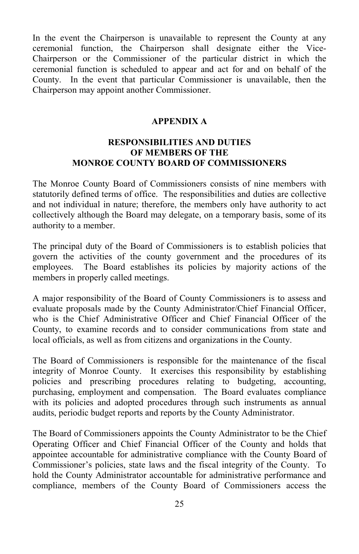In the event the Chairperson is unavailable to represent the County at any ceremonial function, the Chairperson shall designate either the Vice-Chairperson or the Commissioner of the particular district in which the ceremonial function is scheduled to appear and act for and on behalf of the County. In the event that particular Commissioner is unavailable, then the Chairperson may appoint another Commissioner.

#### **APPENDIX A**

#### **RESPONSIBILITIES AND DUTIES OF MEMBERS OF THE MONROE COUNTY BOARD OF COMMISSIONERS**

The Monroe County Board of Commissioners consists of nine members with statutorily defined terms of office. The responsibilities and duties are collective and not individual in nature; therefore, the members only have authority to act collectively although the Board may delegate, on a temporary basis, some of its authority to a member.

The principal duty of the Board of Commissioners is to establish policies that govern the activities of the county government and the procedures of its employees. The Board establishes its policies by majority actions of the members in properly called meetings.

A major responsibility of the Board of County Commissioners is to assess and evaluate proposals made by the County Administrator/Chief Financial Officer, who is the Chief Administrative Officer and Chief Financial Officer of the County, to examine records and to consider communications from state and local officials, as well as from citizens and organizations in the County.

The Board of Commissioners is responsible for the maintenance of the fiscal integrity of Monroe County. It exercises this responsibility by establishing policies and prescribing procedures relating to budgeting, accounting, purchasing, employment and compensation. The Board evaluates compliance with its policies and adopted procedures through such instruments as annual audits, periodic budget reports and reports by the County Administrator.

The Board of Commissioners appoints the County Administrator to be the Chief Operating Officer and Chief Financial Officer of the County and holds that appointee accountable for administrative compliance with the County Board of Commissioner's policies, state laws and the fiscal integrity of the County. To hold the County Administrator accountable for administrative performance and compliance, members of the County Board of Commissioners access the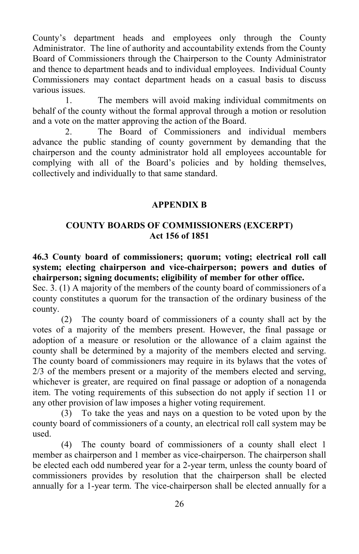County's department heads and employees only through the County Administrator. The line of authority and accountability extends from the County Board of Commissioners through the Chairperson to the County Administrator and thence to department heads and to individual employees. Individual County Commissioners may contact department heads on a casual basis to discuss various issues.

1. The members will avoid making individual commitments on behalf of the county without the formal approval through a motion or resolution and a vote on the matter approving the action of the Board.

2. The Board of Commissioners and individual members advance the public standing of county government by demanding that the chairperson and the county administrator hold all employees accountable for complying with all of the Board's policies and by holding themselves, collectively and individually to that same standard.

#### **APPENDIX B**

#### **COUNTY BOARDS OF COMMISSIONERS (EXCERPT) Act 156 of 1851**

**46.3 County board of commissioners; quorum; voting; electrical roll call system; electing chairperson and vice-chairperson; powers and duties of chairperson; signing documents; eligibility of member for other office.**

Sec. 3. (1) A majority of the members of the county board of commissioners of a county constitutes a quorum for the transaction of the ordinary business of the county.

(2) The county board of commissioners of a county shall act by the votes of a majority of the members present. However, the final passage or adoption of a measure or resolution or the allowance of a claim against the county shall be determined by a majority of the members elected and serving. The county board of commissioners may require in its bylaws that the votes of 2/3 of the members present or a majority of the members elected and serving, whichever is greater, are required on final passage or adoption of a nonagenda item. The voting requirements of this subsection do not apply if section 11 or any other provision of law imposes a higher voting requirement.

(3) To take the yeas and nays on a question to be voted upon by the county board of commissioners of a county, an electrical roll call system may be used.

(4) The county board of commissioners of a county shall elect 1 member as chairperson and 1 member as vice-chairperson. The chairperson shall be elected each odd numbered year for a 2-year term, unless the county board of commissioners provides by resolution that the chairperson shall be elected annually for a 1-year term. The vice-chairperson shall be elected annually for a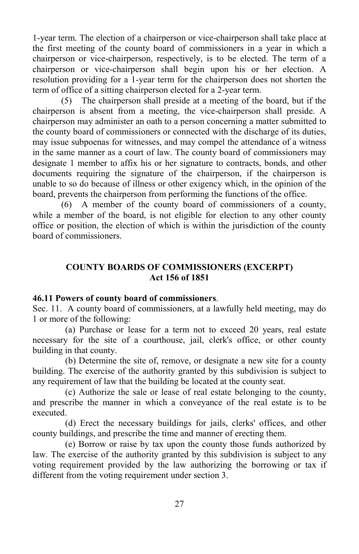1-year term. The election of a chairperson or vice-chairperson shall take place at the first meeting of the county board of commissioners in a year in which a chairperson or vice-chairperson, respectively, is to be elected. The term of a chairperson or vice-chairperson shall begin upon his or her election. A resolution providing for a 1-year term for the chairperson does not shorten the term of office of a sitting chairperson elected for a 2-year term.

(5) The chairperson shall preside at a meeting of the board, but if the chairperson is absent from a meeting, the vice-chairperson shall preside. A chairperson may administer an oath to a person concerning a matter submitted to the county board of commissioners or connected with the discharge of its duties, may issue subpoenas for witnesses, and may compel the attendance of a witness in the same manner as a court of law. The county board of commissioners may designate 1 member to affix his or her signature to contracts, bonds, and other documents requiring the signature of the chairperson, if the chairperson is unable to so do because of illness or other exigency which, in the opinion of the board, prevents the chairperson from performing the functions of the office.

(6) A member of the county board of commissioners of a county, while a member of the board, is not eligible for election to any other county office or position, the election of which is within the jurisdiction of the county board of commissioners.

### **COUNTY BOARDS OF COMMISSIONERS (EXCERPT) Act 156 of 1851**

#### **46.11 Powers of county board of commissioners**.

Sec. 11. A county board of commissioners, at a lawfully held meeting, may do 1 or more of the following:

(a) Purchase or lease for a term not to exceed 20 years, real estate necessary for the site of a courthouse, jail, clerk's office, or other county building in that county.

(b) Determine the site of, remove, or designate a new site for a county building. The exercise of the authority granted by this subdivision is subject to any requirement of law that the building be located at the county seat.

(c) Authorize the sale or lease of real estate belonging to the county, and prescribe the manner in which a conveyance of the real estate is to be executed.

(d) Erect the necessary buildings for jails, clerks' offices, and other county buildings, and prescribe the time and manner of erecting them.

(e) Borrow or raise by tax upon the county those funds authorized by law. The exercise of the authority granted by this subdivision is subject to any voting requirement provided by the law authorizing the borrowing or tax if different from the voting requirement under section 3.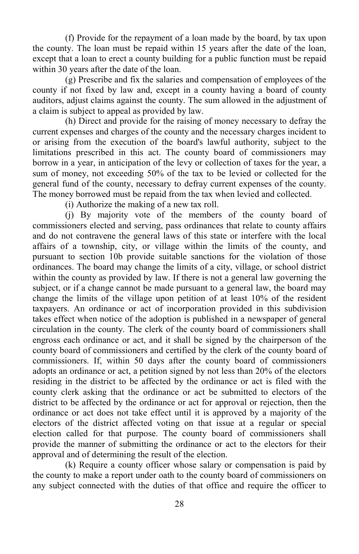(f) Provide for the repayment of a loan made by the board, by tax upon the county. The loan must be repaid within 15 years after the date of the loan, except that a loan to erect a county building for a public function must be repaid within 30 years after the date of the loan.

(g) Prescribe and fix the salaries and compensation of employees of the county if not fixed by law and, except in a county having a board of county auditors, adjust claims against the county. The sum allowed in the adjustment of a claim is subject to appeal as provided by law.

(h) Direct and provide for the raising of money necessary to defray the current expenses and charges of the county and the necessary charges incident to or arising from the execution of the board's lawful authority, subject to the limitations prescribed in this act. The county board of commissioners may borrow in a year, in anticipation of the levy or collection of taxes for the year, a sum of money, not exceeding 50% of the tax to be levied or collected for the general fund of the county, necessary to defray current expenses of the county. The money borrowed must be repaid from the tax when levied and collected.

(i) Authorize the making of a new tax roll.

(j) By majority vote of the members of the county board of commissioners elected and serving, pass ordinances that relate to county affairs and do not contravene the general laws of this state or interfere with the local affairs of a township, city, or village within the limits of the county, and pursuant to section 10b provide suitable sanctions for the violation of those ordinances. The board may change the limits of a city, village, or school district within the county as provided by law. If there is not a general law governing the subject, or if a change cannot be made pursuant to a general law, the board may change the limits of the village upon petition of at least 10% of the resident taxpayers. An ordinance or act of incorporation provided in this subdivision takes effect when notice of the adoption is published in a newspaper of general circulation in the county. The clerk of the county board of commissioners shall engross each ordinance or act, and it shall be signed by the chairperson of the county board of commissioners and certified by the clerk of the county board of commissioners. If, within 50 days after the county board of commissioners adopts an ordinance or act, a petition signed by not less than 20% of the electors residing in the district to be affected by the ordinance or act is filed with the county clerk asking that the ordinance or act be submitted to electors of the district to be affected by the ordinance or act for approval or rejection, then the ordinance or act does not take effect until it is approved by a majority of the electors of the district affected voting on that issue at a regular or special election called for that purpose. The county board of commissioners shall provide the manner of submitting the ordinance or act to the electors for their approval and of determining the result of the election.

(k) Require a county officer whose salary or compensation is paid by the county to make a report under oath to the county board of commissioners on any subject connected with the duties of that office and require the officer to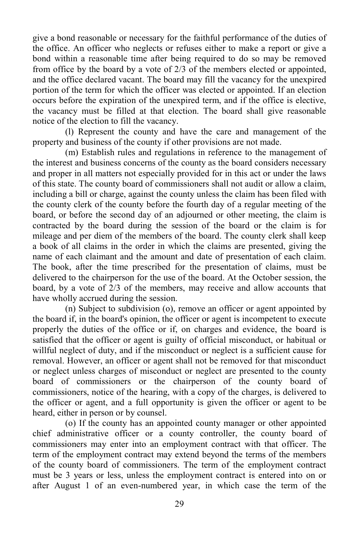give a bond reasonable or necessary for the faithful performance of the duties of the office. An officer who neglects or refuses either to make a report or give a bond within a reasonable time after being required to do so may be removed from office by the board by a vote of 2/3 of the members elected or appointed, and the office declared vacant. The board may fill the vacancy for the unexpired portion of the term for which the officer was elected or appointed. If an election occurs before the expiration of the unexpired term, and if the office is elective, the vacancy must be filled at that election. The board shall give reasonable notice of the election to fill the vacancy.

(l) Represent the county and have the care and management of the property and business of the county if other provisions are not made.

(m) Establish rules and regulations in reference to the management of the interest and business concerns of the county as the board considers necessary and proper in all matters not especially provided for in this act or under the laws of this state. The county board of commissioners shall not audit or allow a claim, including a bill or charge, against the county unless the claim has been filed with the county clerk of the county before the fourth day of a regular meeting of the board, or before the second day of an adjourned or other meeting, the claim is contracted by the board during the session of the board or the claim is for mileage and per diem of the members of the board. The county clerk shall keep a book of all claims in the order in which the claims are presented, giving the name of each claimant and the amount and date of presentation of each claim. The book, after the time prescribed for the presentation of claims, must be delivered to the chairperson for the use of the board. At the October session, the board, by a vote of 2/3 of the members, may receive and allow accounts that have wholly accrued during the session.

(n) Subject to subdivision (o), remove an officer or agent appointed by the board if, in the board's opinion, the officer or agent is incompetent to execute properly the duties of the office or if, on charges and evidence, the board is satisfied that the officer or agent is guilty of official misconduct, or habitual or willful neglect of duty, and if the misconduct or neglect is a sufficient cause for removal. However, an officer or agent shall not be removed for that misconduct or neglect unless charges of misconduct or neglect are presented to the county board of commissioners or the chairperson of the county board of commissioners, notice of the hearing, with a copy of the charges, is delivered to the officer or agent, and a full opportunity is given the officer or agent to be heard, either in person or by counsel.

(o) If the county has an appointed county manager or other appointed chief administrative officer or a county controller, the county board of commissioners may enter into an employment contract with that officer. The term of the employment contract may extend beyond the terms of the members of the county board of commissioners. The term of the employment contract must be 3 years or less, unless the employment contract is entered into on or after August 1 of an even-numbered year, in which case the term of the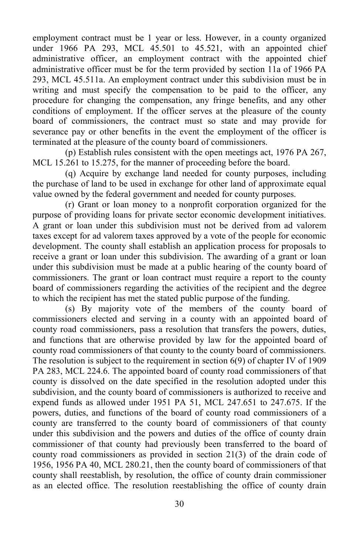employment contract must be 1 year or less. However, in a county organized under 1966 PA 293, MCL 45.501 to 45.521, with an appointed chief administrative officer, an employment contract with the appointed chief administrative officer must be for the term provided by section 11a of 1966 PA 293, MCL 45.511a. An employment contract under this subdivision must be in writing and must specify the compensation to be paid to the officer, any procedure for changing the compensation, any fringe benefits, and any other conditions of employment. If the officer serves at the pleasure of the county board of commissioners, the contract must so state and may provide for severance pay or other benefits in the event the employment of the officer is terminated at the pleasure of the county board of commissioners.

(p) Establish rules consistent with the open meetings act, 1976 PA 267, MCL 15.261 to 15.275, for the manner of proceeding before the board.

(q) Acquire by exchange land needed for county purposes, including the purchase of land to be used in exchange for other land of approximate equal value owned by the federal government and needed for county purposes.

(r) Grant or loan money to a nonprofit corporation organized for the purpose of providing loans for private sector economic development initiatives. A grant or loan under this subdivision must not be derived from ad valorem taxes except for ad valorem taxes approved by a vote of the people for economic development. The county shall establish an application process for proposals to receive a grant or loan under this subdivision. The awarding of a grant or loan under this subdivision must be made at a public hearing of the county board of commissioners. The grant or loan contract must require a report to the county board of commissioners regarding the activities of the recipient and the degree to which the recipient has met the stated public purpose of the funding.

(s) By majority vote of the members of the county board of commissioners elected and serving in a county with an appointed board of county road commissioners, pass a resolution that transfers the powers, duties, and functions that are otherwise provided by law for the appointed board of county road commissioners of that county to the county board of commissioners. The resolution is subject to the requirement in section 6(9) of chapter IV of 1909 PA 283, MCL 224.6. The appointed board of county road commissioners of that county is dissolved on the date specified in the resolution adopted under this subdivision, and the county board of commissioners is authorized to receive and expend funds as allowed under 1951 PA 51, MCL 247.651 to 247.675. If the powers, duties, and functions of the board of county road commissioners of a county are transferred to the county board of commissioners of that county under this subdivision and the powers and duties of the office of county drain commissioner of that county had previously been transferred to the board of county road commissioners as provided in section 21(3) of the drain code of 1956, 1956 PA 40, MCL 280.21, then the county board of commissioners of that county shall reestablish, by resolution, the office of county drain commissioner as an elected office. The resolution reestablishing the office of county drain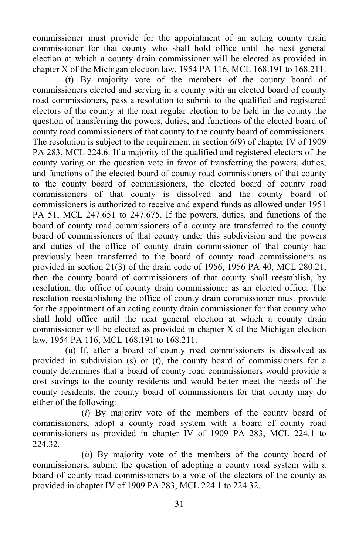commissioner must provide for the appointment of an acting county drain commissioner for that county who shall hold office until the next general election at which a county drain commissioner will be elected as provided in chapter X of the Michigan election law, 1954 PA 116, MCL 168.191 to 168.211.

(t) By majority vote of the members of the county board of commissioners elected and serving in a county with an elected board of county road commissioners, pass a resolution to submit to the qualified and registered electors of the county at the next regular election to be held in the county the question of transferring the powers, duties, and functions of the elected board of county road commissioners of that county to the county board of commissioners. The resolution is subject to the requirement in section 6(9) of chapter IV of 1909 PA 283, MCL 224.6. If a majority of the qualified and registered electors of the county voting on the question vote in favor of transferring the powers, duties, and functions of the elected board of county road commissioners of that county to the county board of commissioners, the elected board of county road commissioners of that county is dissolved and the county board of commissioners is authorized to receive and expend funds as allowed under 1951 PA 51, MCL 247.651 to 247.675. If the powers, duties, and functions of the board of county road commissioners of a county are transferred to the county board of commissioners of that county under this subdivision and the powers and duties of the office of county drain commissioner of that county had previously been transferred to the board of county road commissioners as provided in section 21(3) of the drain code of 1956, 1956 PA 40, MCL 280.21, then the county board of commissioners of that county shall reestablish, by resolution, the office of county drain commissioner as an elected office. The resolution reestablishing the office of county drain commissioner must provide for the appointment of an acting county drain commissioner for that county who shall hold office until the next general election at which a county drain commissioner will be elected as provided in chapter X of the Michigan election law, 1954 PA 116, MCL 168.191 to 168.211.

(u) If, after a board of county road commissioners is dissolved as provided in subdivision (s) or (t), the county board of commissioners for a county determines that a board of county road commissioners would provide a cost savings to the county residents and would better meet the needs of the county residents, the county board of commissioners for that county may do either of the following:

(*i*) By majority vote of the members of the county board of commissioners, adopt a county road system with a board of county road commissioners as provided in chapter IV of 1909 PA 283, MCL 224.1 to 224.32.

(*ii*) By majority vote of the members of the county board of commissioners, submit the question of adopting a county road system with a board of county road commissioners to a vote of the electors of the county as provided in chapter IV of 1909 PA 283, MCL 224.1 to 224.32.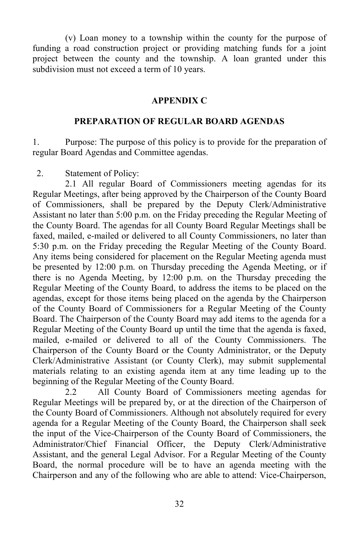(v) Loan money to a township within the county for the purpose of funding a road construction project or providing matching funds for a joint project between the county and the township. A loan granted under this subdivision must not exceed a term of 10 years.

#### **APPENDIX C**

#### **PREPARATION OF REGULAR BOARD AGENDAS**

1. Purpose: The purpose of this policy is to provide for the preparation of regular Board Agendas and Committee agendas.

2. Statement of Policy:

2.1 All regular Board of Commissioners meeting agendas for its Regular Meetings, after being approved by the Chairperson of the County Board of Commissioners, shall be prepared by the Deputy Clerk/Administrative Assistant no later than 5:00 p.m. on the Friday preceding the Regular Meeting of the County Board. The agendas for all County Board Regular Meetings shall be faxed, mailed, e-mailed or delivered to all County Commissioners, no later than 5:30 p.m. on the Friday preceding the Regular Meeting of the County Board. Any items being considered for placement on the Regular Meeting agenda must be presented by 12:00 p.m. on Thursday preceding the Agenda Meeting, or if there is no Agenda Meeting, by 12:00 p.m. on the Thursday preceding the Regular Meeting of the County Board, to address the items to be placed on the agendas, except for those items being placed on the agenda by the Chairperson of the County Board of Commissioners for a Regular Meeting of the County Board. The Chairperson of the County Board may add items to the agenda for a Regular Meeting of the County Board up until the time that the agenda is faxed, mailed, e-mailed or delivered to all of the County Commissioners. The Chairperson of the County Board or the County Administrator, or the Deputy Clerk/Administrative Assistant (or County Clerk), may submit supplemental materials relating to an existing agenda item at any time leading up to the beginning of the Regular Meeting of the County Board.

2.2 All County Board of Commissioners meeting agendas for Regular Meetings will be prepared by, or at the direction of the Chairperson of the County Board of Commissioners. Although not absolutely required for every agenda for a Regular Meeting of the County Board, the Chairperson shall seek the input of the Vice-Chairperson of the County Board of Commissioners, the Administrator/Chief Financial Officer, the Deputy Clerk/Administrative Assistant, and the general Legal Advisor. For a Regular Meeting of the County Board, the normal procedure will be to have an agenda meeting with the Chairperson and any of the following who are able to attend: Vice-Chairperson,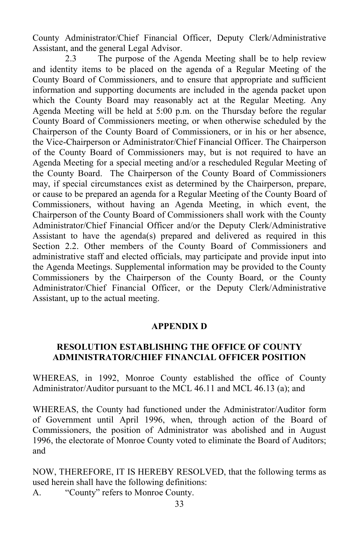County Administrator/Chief Financial Officer, Deputy Clerk/Administrative Assistant, and the general Legal Advisor.

2.3 The purpose of the Agenda Meeting shall be to help review and identity items to be placed on the agenda of a Regular Meeting of the County Board of Commissioners, and to ensure that appropriate and sufficient information and supporting documents are included in the agenda packet upon which the County Board may reasonably act at the Regular Meeting. Any Agenda Meeting will be held at 5:00 p.m. on the Thursday before the regular County Board of Commissioners meeting, or when otherwise scheduled by the Chairperson of the County Board of Commissioners, or in his or her absence, the Vice-Chairperson or Administrator/Chief Financial Officer. The Chairperson of the County Board of Commissioners may, but is not required to have an Agenda Meeting for a special meeting and/or a rescheduled Regular Meeting of the County Board. The Chairperson of the County Board of Commissioners may, if special circumstances exist as determined by the Chairperson, prepare, or cause to be prepared an agenda for a Regular Meeting of the County Board of Commissioners, without having an Agenda Meeting, in which event, the Chairperson of the County Board of Commissioners shall work with the County Administrator/Chief Financial Officer and/or the Deputy Clerk/Administrative Assistant to have the agenda(s) prepared and delivered as required in this Section 2.2. Other members of the County Board of Commissioners and administrative staff and elected officials, may participate and provide input into the Agenda Meetings. Supplemental information may be provided to the County Commissioners by the Chairperson of the County Board, or the County Administrator/Chief Financial Officer, or the Deputy Clerk/Administrative Assistant, up to the actual meeting.

#### **APPENDIX D**

### **RESOLUTION ESTABLISHING THE OFFICE OF COUNTY ADMINISTRATOR/CHIEF FINANCIAL OFFICER POSITION**

WHEREAS, in 1992, Monroe County established the office of County Administrator/Auditor pursuant to the MCL 46.11 and MCL 46.13 (a); and

WHEREAS, the County had functioned under the Administrator/Auditor form of Government until April 1996, when, through action of the Board of Commissioners, the position of Administrator was abolished and in August 1996, the electorate of Monroe County voted to eliminate the Board of Auditors; and

NOW, THEREFORE, IT IS HEREBY RESOLVED, that the following terms as used herein shall have the following definitions: A. "County" refers to Monroe County.

33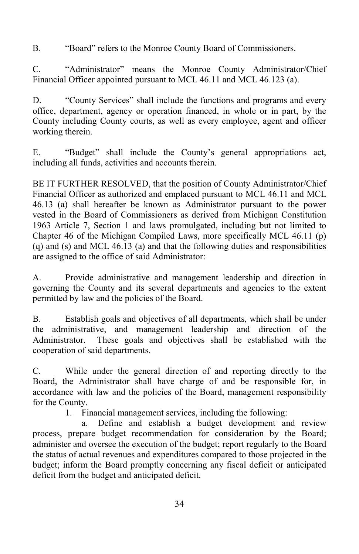B. "Board" refers to the Monroe County Board of Commissioners.

C. "Administrator" means the Monroe County Administrator/Chief Financial Officer appointed pursuant to MCL 46.11 and MCL 46.123 (a).

D. "County Services" shall include the functions and programs and every office, department, agency or operation financed, in whole or in part, by the County including County courts, as well as every employee, agent and officer working therein.

E. "Budget" shall include the County's general appropriations act, including all funds, activities and accounts therein.

BE IT FURTHER RESOLVED, that the position of County Administrator/Chief Financial Officer as authorized and emplaced pursuant to MCL 46.11 and MCL 46.13 (a) shall hereafter be known as Administrator pursuant to the power vested in the Board of Commissioners as derived from Michigan Constitution 1963 Article 7, Section 1 and laws promulgated, including but not limited to Chapter 46 of the Michigan Compiled Laws, more specifically MCL 46.11 (p) (q) and (s) and MCL 46.13 (a) and that the following duties and responsibilities are assigned to the office of said Administrator:

A. Provide administrative and management leadership and direction in governing the County and its several departments and agencies to the extent permitted by law and the policies of the Board.

B. Establish goals and objectives of all departments, which shall be under the administrative, and management leadership and direction of the Administrator. These goals and objectives shall be established with the cooperation of said departments.

C. While under the general direction of and reporting directly to the Board, the Administrator shall have charge of and be responsible for, in accordance with law and the policies of the Board, management responsibility for the County.

1. Financial management services, including the following:

a. Define and establish a budget development and review process, prepare budget recommendation for consideration by the Board; administer and oversee the execution of the budget; report regularly to the Board the status of actual revenues and expenditures compared to those projected in the budget; inform the Board promptly concerning any fiscal deficit or anticipated deficit from the budget and anticipated deficit.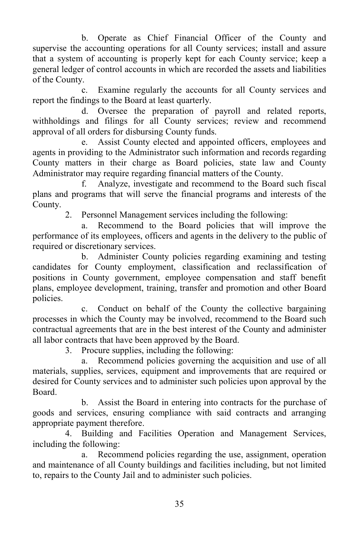b. Operate as Chief Financial Officer of the County and supervise the accounting operations for all County services; install and assure that a system of accounting is properly kept for each County service; keep a general ledger of control accounts in which are recorded the assets and liabilities of the County.

c. Examine regularly the accounts for all County services and report the findings to the Board at least quarterly.

d. Oversee the preparation of payroll and related reports, withholdings and filings for all County services; review and recommend approval of all orders for disbursing County funds.

e. Assist County elected and appointed officers, employees and agents in providing to the Administrator such information and records regarding County matters in their charge as Board policies, state law and County Administrator may require regarding financial matters of the County.

f. Analyze, investigate and recommend to the Board such fiscal plans and programs that will serve the financial programs and interests of the County.

2. Personnel Management services including the following:

a. Recommend to the Board policies that will improve the performance of its employees, officers and agents in the delivery to the public of required or discretionary services.

b. Administer County policies regarding examining and testing candidates for County employment, classification and reclassification of positions in County government, employee compensation and staff benefit plans, employee development, training, transfer and promotion and other Board policies.

c. Conduct on behalf of the County the collective bargaining processes in which the County may be involved, recommend to the Board such contractual agreements that are in the best interest of the County and administer all labor contracts that have been approved by the Board.

3. Procure supplies, including the following:

a. Recommend policies governing the acquisition and use of all materials, supplies, services, equipment and improvements that are required or desired for County services and to administer such policies upon approval by the Board.

b. Assist the Board in entering into contracts for the purchase of goods and services, ensuring compliance with said contracts and arranging appropriate payment therefore.

4. Building and Facilities Operation and Management Services, including the following:

a. Recommend policies regarding the use, assignment, operation and maintenance of all County buildings and facilities including, but not limited to, repairs to the County Jail and to administer such policies.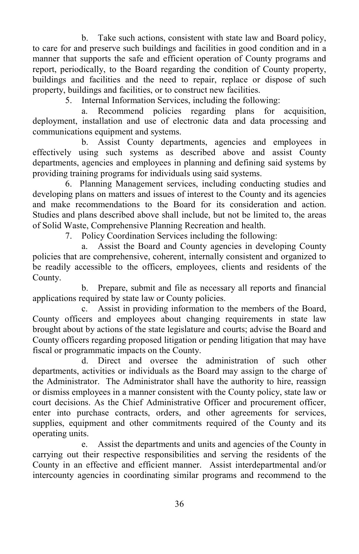b. Take such actions, consistent with state law and Board policy, to care for and preserve such buildings and facilities in good condition and in a manner that supports the safe and efficient operation of County programs and report, periodically, to the Board regarding the condition of County property, buildings and facilities and the need to repair, replace or dispose of such property, buildings and facilities, or to construct new facilities.

5. Internal Information Services, including the following:

a. Recommend policies regarding plans for acquisition, deployment, installation and use of electronic data and data processing and communications equipment and systems.

b. Assist County departments, agencies and employees in effectively using such systems as described above and assist County departments, agencies and employees in planning and defining said systems by providing training programs for individuals using said systems.

6. Planning Management services, including conducting studies and developing plans on matters and issues of interest to the County and its agencies and make recommendations to the Board for its consideration and action. Studies and plans described above shall include, but not be limited to, the areas of Solid Waste, Comprehensive Planning Recreation and health.

7. Policy Coordination Services including the following:

a. Assist the Board and County agencies in developing County policies that are comprehensive, coherent, internally consistent and organized to be readily accessible to the officers, employees, clients and residents of the County.

b. Prepare, submit and file as necessary all reports and financial applications required by state law or County policies.

c. Assist in providing information to the members of the Board, County officers and employees about changing requirements in state law brought about by actions of the state legislature and courts; advise the Board and County officers regarding proposed litigation or pending litigation that may have fiscal or programmatic impacts on the County.

d. Direct and oversee the administration of such other departments, activities or individuals as the Board may assign to the charge of the Administrator. The Administrator shall have the authority to hire, reassign or dismiss employees in a manner consistent with the County policy, state law or court decisions. As the Chief Administrative Officer and procurement officer, enter into purchase contracts, orders, and other agreements for services, supplies, equipment and other commitments required of the County and its operating units.

e. Assist the departments and units and agencies of the County in carrying out their respective responsibilities and serving the residents of the County in an effective and efficient manner. Assist interdepartmental and/or intercounty agencies in coordinating similar programs and recommend to the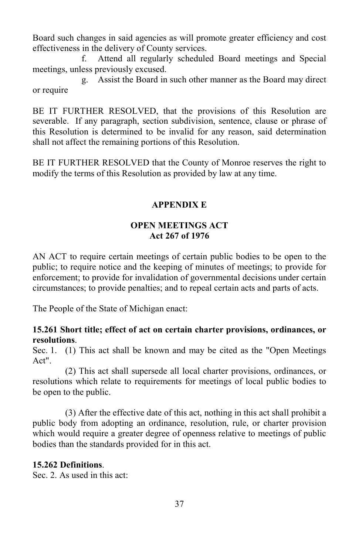Board such changes in said agencies as will promote greater efficiency and cost effectiveness in the delivery of County services.

f. Attend all regularly scheduled Board meetings and Special meetings, unless previously excused.

g. Assist the Board in such other manner as the Board may direct or require

BE IT FURTHER RESOLVED, that the provisions of this Resolution are severable. If any paragraph, section subdivision, sentence, clause or phrase of this Resolution is determined to be invalid for any reason, said determination shall not affect the remaining portions of this Resolution.

BE IT FURTHER RESOLVED that the County of Monroe reserves the right to modify the terms of this Resolution as provided by law at any time.

#### **APPENDIX E**

#### **OPEN MEETINGS ACT Act 267 of 1976**

AN ACT to require certain meetings of certain public bodies to be open to the public; to require notice and the keeping of minutes of meetings; to provide for enforcement; to provide for invalidation of governmental decisions under certain circumstances; to provide penalties; and to repeal certain acts and parts of acts.

The People of the State of Michigan enact:

#### **15.261 Short title; effect of act on certain charter provisions, ordinances, or resolutions**.

Sec. 1. (1) This act shall be known and may be cited as the "Open Meetings Act".

(2) This act shall supersede all local charter provisions, ordinances, or resolutions which relate to requirements for meetings of local public bodies to be open to the public.

(3) After the effective date of this act, nothing in this act shall prohibit a public body from adopting an ordinance, resolution, rule, or charter provision which would require a greater degree of openness relative to meetings of public bodies than the standards provided for in this act.

### **15.262 Definitions**.

Sec. 2. As used in this act: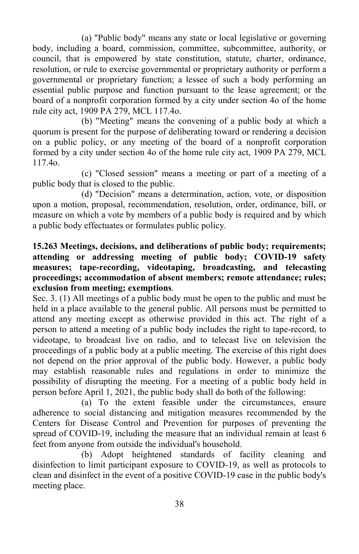(a) "Public body" means any state or local legislative or governing body, including a board, commission, committee, subcommittee, authority, or council, that is empowered by state constitution, statute, charter, ordinance, resolution, or rule to exercise governmental or proprietary authority or perform a governmental or proprietary function; a lessee of such a body performing an essential public purpose and function pursuant to the lease agreement; or the board of a nonprofit corporation formed by a city under section 4o of the home rule city act, 1909 PA 279, MCL 117.4o.

(b) "Meeting" means the convening of a public body at which a quorum is present for the purpose of deliberating toward or rendering a decision on a public policy, or any meeting of the board of a nonprofit corporation formed by a city under section 4o of the home rule city act, 1909 PA 279, MCL 117.4o.

(c) "Closed session" means a meeting or part of a meeting of a public body that is closed to the public.

(d) "Decision" means a determination, action, vote, or disposition upon a motion, proposal, recommendation, resolution, order, ordinance, bill, or measure on which a vote by members of a public body is required and by which a public body effectuates or formulates public policy.

#### **15.263 Meetings, decisions, and deliberations of public body; requirements; attending or addressing meeting of public body; COVID-19 safety measures; tape-recording, videotaping, broadcasting, and telecasting proceedings; accommodation of absent members; remote attendance; rules; exclusion from meeting; exemptions**.

Sec. 3. (1) All meetings of a public body must be open to the public and must be held in a place available to the general public. All persons must be permitted to attend any meeting except as otherwise provided in this act. The right of a person to attend a meeting of a public body includes the right to tape-record, to videotape, to broadcast live on radio, and to telecast live on television the proceedings of a public body at a public meeting. The exercise of this right does not depend on the prior approval of the public body. However, a public body may establish reasonable rules and regulations in order to minimize the possibility of disrupting the meeting. For a meeting of a public body held in person before April 1, 2021, the public body shall do both of the following:

(a) To the extent feasible under the circumstances, ensure adherence to social distancing and mitigation measures recommended by the Centers for Disease Control and Prevention for purposes of preventing the spread of COVID-19, including the measure that an individual remain at least 6 feet from anyone from outside the individual's household.

(b) Adopt heightened standards of facility cleaning and disinfection to limit participant exposure to COVID-19, as well as protocols to clean and disinfect in the event of a positive COVID-19 case in the public body's meeting place.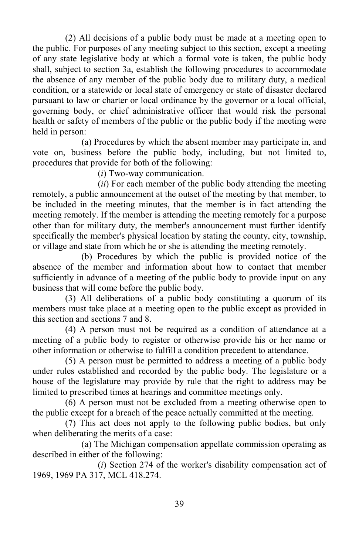(2) All decisions of a public body must be made at a meeting open to the public. For purposes of any meeting subject to this section, except a meeting of any state legislative body at which a formal vote is taken, the public body shall, subject to section 3a, establish the following procedures to accommodate the absence of any member of the public body due to military duty, a medical condition, or a statewide or local state of emergency or state of disaster declared pursuant to law or charter or local ordinance by the governor or a local official, governing body, or chief administrative officer that would risk the personal health or safety of members of the public or the public body if the meeting were held in person:

(a) Procedures by which the absent member may participate in, and vote on, business before the public body, including, but not limited to, procedures that provide for both of the following:

(*i*) Two-way communication.

(*ii*) For each member of the public body attending the meeting remotely, a public announcement at the outset of the meeting by that member, to be included in the meeting minutes, that the member is in fact attending the meeting remotely. If the member is attending the meeting remotely for a purpose other than for military duty, the member's announcement must further identify specifically the member's physical location by stating the county, city, township, or village and state from which he or she is attending the meeting remotely.

(b) Procedures by which the public is provided notice of the absence of the member and information about how to contact that member sufficiently in advance of a meeting of the public body to provide input on any business that will come before the public body.

(3) All deliberations of a public body constituting a quorum of its members must take place at a meeting open to the public except as provided in this section and sections 7 and 8.

(4) A person must not be required as a condition of attendance at a meeting of a public body to register or otherwise provide his or her name or other information or otherwise to fulfill a condition precedent to attendance.

(5) A person must be permitted to address a meeting of a public body under rules established and recorded by the public body. The legislature or a house of the legislature may provide by rule that the right to address may be limited to prescribed times at hearings and committee meetings only.

(6) A person must not be excluded from a meeting otherwise open to the public except for a breach of the peace actually committed at the meeting.

(7) This act does not apply to the following public bodies, but only when deliberating the merits of a case:

(a) The Michigan compensation appellate commission operating as described in either of the following:

(*i*) Section 274 of the worker's disability compensation act of 1969, 1969 PA 317, MCL 418.274.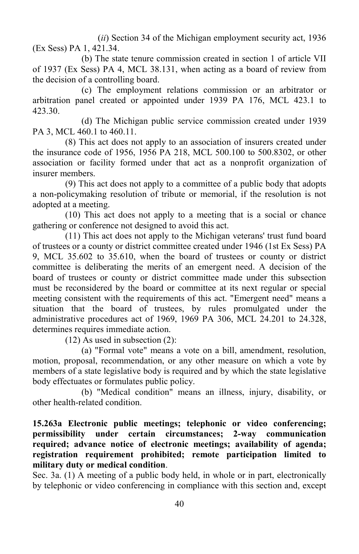(*ii*) Section 34 of the Michigan employment security act, 1936 (Ex Sess) PA 1, 421.34.

(b) The state tenure commission created in section 1 of article VII of 1937 (Ex Sess) PA 4, MCL 38.131, when acting as a board of review from the decision of a controlling board.

(c) The employment relations commission or an arbitrator or arbitration panel created or appointed under 1939 PA 176, MCL 423.1 to 423.30.

(d) The Michigan public service commission created under 1939 PA 3, MCL 460.1 to 460.11.

(8) This act does not apply to an association of insurers created under the insurance code of 1956, 1956 PA 218, MCL 500.100 to 500.8302, or other association or facility formed under that act as a nonprofit organization of insurer members.

(9) This act does not apply to a committee of a public body that adopts a non-policymaking resolution of tribute or memorial, if the resolution is not adopted at a meeting.

(10) This act does not apply to a meeting that is a social or chance gathering or conference not designed to avoid this act.

(11) This act does not apply to the Michigan veterans' trust fund board of trustees or a county or district committee created under 1946 (1st Ex Sess) PA 9, MCL 35.602 to 35.610, when the board of trustees or county or district committee is deliberating the merits of an emergent need. A decision of the board of trustees or county or district committee made under this subsection must be reconsidered by the board or committee at its next regular or special meeting consistent with the requirements of this act. "Emergent need" means a situation that the board of trustees, by rules promulgated under the administrative procedures act of 1969, 1969 PA 306, MCL 24.201 to 24.328, determines requires immediate action.

(12) As used in subsection (2):

(a) "Formal vote" means a vote on a bill, amendment, resolution, motion, proposal, recommendation, or any other measure on which a vote by members of a state legislative body is required and by which the state legislative body effectuates or formulates public policy.

(b) "Medical condition" means an illness, injury, disability, or other health-related condition.

**15.263a Electronic public meetings; telephonic or video conferencing; permissibility under certain circumstances; 2-way communication required; advance notice of electronic meetings; availability of agenda; registration requirement prohibited; remote participation limited to military duty or medical condition**.

Sec. 3a. (1) A meeting of a public body held, in whole or in part, electronically by telephonic or video conferencing in compliance with this section and, except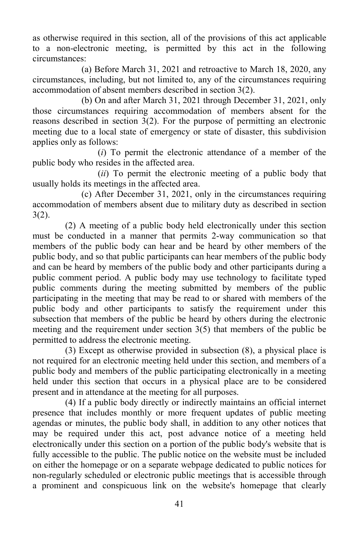as otherwise required in this section, all of the provisions of this act applicable to a non-electronic meeting, is permitted by this act in the following circumstances:

(a) Before March 31, 2021 and retroactive to March 18, 2020, any circumstances, including, but not limited to, any of the circumstances requiring accommodation of absent members described in section 3(2).

(b) On and after March 31, 2021 through December 31, 2021, only those circumstances requiring accommodation of members absent for the reasons described in section 3(2). For the purpose of permitting an electronic meeting due to a local state of emergency or state of disaster, this subdivision applies only as follows:

(*i*) To permit the electronic attendance of a member of the public body who resides in the affected area.

(*ii*) To permit the electronic meeting of a public body that usually holds its meetings in the affected area.

(c) After December 31, 2021, only in the circumstances requiring accommodation of members absent due to military duty as described in section 3(2).

(2) A meeting of a public body held electronically under this section must be conducted in a manner that permits 2-way communication so that members of the public body can hear and be heard by other members of the public body, and so that public participants can hear members of the public body and can be heard by members of the public body and other participants during a public comment period. A public body may use technology to facilitate typed public comments during the meeting submitted by members of the public participating in the meeting that may be read to or shared with members of the public body and other participants to satisfy the requirement under this subsection that members of the public be heard by others during the electronic meeting and the requirement under section 3(5) that members of the public be permitted to address the electronic meeting.

(3) Except as otherwise provided in subsection (8), a physical place is not required for an electronic meeting held under this section, and members of a public body and members of the public participating electronically in a meeting held under this section that occurs in a physical place are to be considered present and in attendance at the meeting for all purposes.

(4) If a public body directly or indirectly maintains an official internet presence that includes monthly or more frequent updates of public meeting agendas or minutes, the public body shall, in addition to any other notices that may be required under this act, post advance notice of a meeting held electronically under this section on a portion of the public body's website that is fully accessible to the public. The public notice on the website must be included on either the homepage or on a separate webpage dedicated to public notices for non-regularly scheduled or electronic public meetings that is accessible through a prominent and conspicuous link on the website's homepage that clearly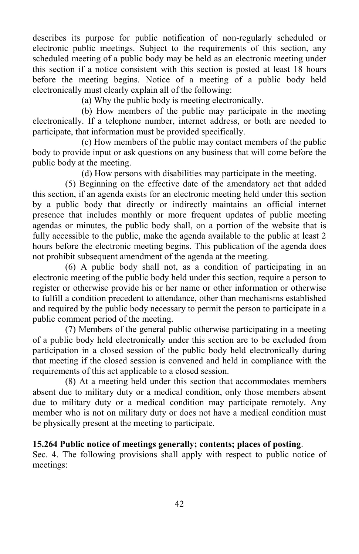describes its purpose for public notification of non-regularly scheduled or electronic public meetings. Subject to the requirements of this section, any scheduled meeting of a public body may be held as an electronic meeting under this section if a notice consistent with this section is posted at least 18 hours before the meeting begins. Notice of a meeting of a public body held electronically must clearly explain all of the following:

(a) Why the public body is meeting electronically.

(b) How members of the public may participate in the meeting electronically. If a telephone number, internet address, or both are needed to participate, that information must be provided specifically.

(c) How members of the public may contact members of the public body to provide input or ask questions on any business that will come before the public body at the meeting.

(d) How persons with disabilities may participate in the meeting.

(5) Beginning on the effective date of the amendatory act that added this section, if an agenda exists for an electronic meeting held under this section by a public body that directly or indirectly maintains an official internet presence that includes monthly or more frequent updates of public meeting agendas or minutes, the public body shall, on a portion of the website that is fully accessible to the public, make the agenda available to the public at least 2 hours before the electronic meeting begins. This publication of the agenda does not prohibit subsequent amendment of the agenda at the meeting.

(6) A public body shall not, as a condition of participating in an electronic meeting of the public body held under this section, require a person to register or otherwise provide his or her name or other information or otherwise to fulfill a condition precedent to attendance, other than mechanisms established and required by the public body necessary to permit the person to participate in a public comment period of the meeting.

(7) Members of the general public otherwise participating in a meeting of a public body held electronically under this section are to be excluded from participation in a closed session of the public body held electronically during that meeting if the closed session is convened and held in compliance with the requirements of this act applicable to a closed session.

(8) At a meeting held under this section that accommodates members absent due to military duty or a medical condition, only those members absent due to military duty or a medical condition may participate remotely. Any member who is not on military duty or does not have a medical condition must be physically present at the meeting to participate.

#### **15.264 Public notice of meetings generally; contents; places of posting**.

Sec. 4. The following provisions shall apply with respect to public notice of meetings: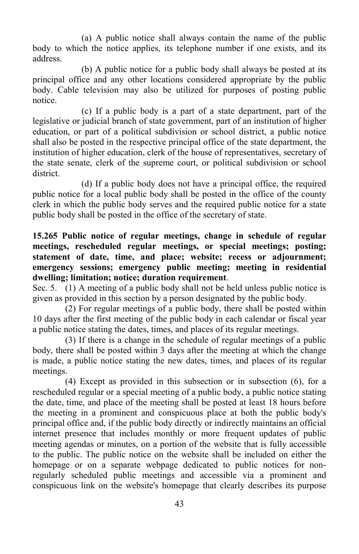(a) A public notice shall always contain the name of the public body to which the notice applies, its telephone number if one exists, and its address.

(b) A public notice for a public body shall always be posted at its principal office and any other locations considered appropriate by the public body. Cable television may also be utilized for purposes of posting public notice.

(c) If a public body is a part of a state department, part of the legislative or judicial branch of state government, part of an institution of higher education, or part of a political subdivision or school district, a public notice shall also be posted in the respective principal office of the state department, the institution of higher education, clerk of the house of representatives, secretary of the state senate, clerk of the supreme court, or political subdivision or school district.

(d) If a public body does not have a principal office, the required public notice for a local public body shall be posted in the office of the county clerk in which the public body serves and the required public notice for a state public body shall be posted in the office of the secretary of state.

### **15.265 Public notice of regular meetings, change in schedule of regular meetings, rescheduled regular meetings, or special meetings; posting; statement of date, time, and place; website; recess or adjournment; emergency sessions; emergency public meeting; meeting in residential dwelling; limitation; notice; duration requirement**.

Sec. 5. (1) A meeting of a public body shall not be held unless public notice is given as provided in this section by a person designated by the public body.

(2) For regular meetings of a public body, there shall be posted within 10 days after the first meeting of the public body in each calendar or fiscal year a public notice stating the dates, times, and places of its regular meetings.

(3) If there is a change in the schedule of regular meetings of a public body, there shall be posted within 3 days after the meeting at which the change is made, a public notice stating the new dates, times, and places of its regular meetings.

(4) Except as provided in this subsection or in subsection (6), for a rescheduled regular or a special meeting of a public body, a public notice stating the date, time, and place of the meeting shall be posted at least 18 hours before the meeting in a prominent and conspicuous place at both the public body's principal office and, if the public body directly or indirectly maintains an official internet presence that includes monthly or more frequent updates of public meeting agendas or minutes, on a portion of the website that is fully accessible to the public. The public notice on the website shall be included on either the homepage or on a separate webpage dedicated to public notices for nonregularly scheduled public meetings and accessible via a prominent and conspicuous link on the website's homepage that clearly describes its purpose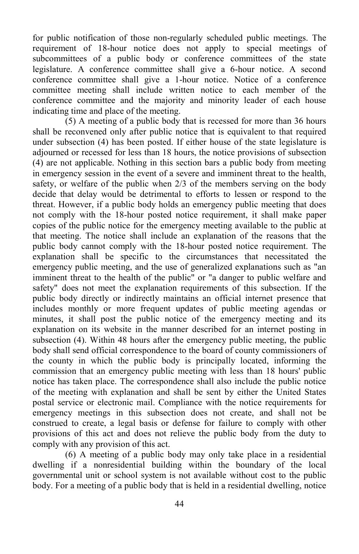for public notification of those non-regularly scheduled public meetings. The requirement of 18-hour notice does not apply to special meetings of subcommittees of a public body or conference committees of the state legislature. A conference committee shall give a 6-hour notice. A second conference committee shall give a 1-hour notice. Notice of a conference committee meeting shall include written notice to each member of the conference committee and the majority and minority leader of each house indicating time and place of the meeting.

(5) A meeting of a public body that is recessed for more than 36 hours shall be reconvened only after public notice that is equivalent to that required under subsection (4) has been posted. If either house of the state legislature is adjourned or recessed for less than 18 hours, the notice provisions of subsection (4) are not applicable. Nothing in this section bars a public body from meeting in emergency session in the event of a severe and imminent threat to the health, safety, or welfare of the public when 2/3 of the members serving on the body decide that delay would be detrimental to efforts to lessen or respond to the threat. However, if a public body holds an emergency public meeting that does not comply with the 18-hour posted notice requirement, it shall make paper copies of the public notice for the emergency meeting available to the public at that meeting. The notice shall include an explanation of the reasons that the public body cannot comply with the 18-hour posted notice requirement. The explanation shall be specific to the circumstances that necessitated the emergency public meeting, and the use of generalized explanations such as "an imminent threat to the health of the public" or "a danger to public welfare and safety" does not meet the explanation requirements of this subsection. If the public body directly or indirectly maintains an official internet presence that includes monthly or more frequent updates of public meeting agendas or minutes, it shall post the public notice of the emergency meeting and its explanation on its website in the manner described for an internet posting in subsection (4). Within 48 hours after the emergency public meeting, the public body shall send official correspondence to the board of county commissioners of the county in which the public body is principally located, informing the commission that an emergency public meeting with less than 18 hours' public notice has taken place. The correspondence shall also include the public notice of the meeting with explanation and shall be sent by either the United States postal service or electronic mail. Compliance with the notice requirements for emergency meetings in this subsection does not create, and shall not be construed to create, a legal basis or defense for failure to comply with other provisions of this act and does not relieve the public body from the duty to comply with any provision of this act.

(6) A meeting of a public body may only take place in a residential dwelling if a nonresidential building within the boundary of the local governmental unit or school system is not available without cost to the public body. For a meeting of a public body that is held in a residential dwelling, notice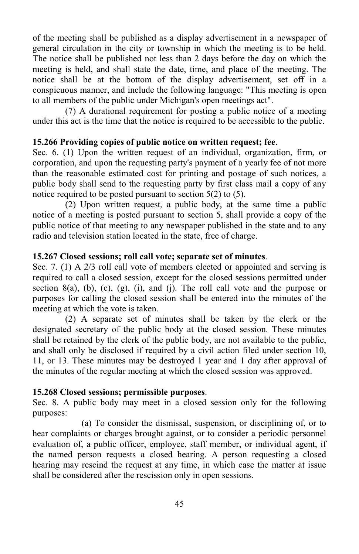of the meeting shall be published as a display advertisement in a newspaper of general circulation in the city or township in which the meeting is to be held. The notice shall be published not less than 2 days before the day on which the meeting is held, and shall state the date, time, and place of the meeting. The notice shall be at the bottom of the display advertisement, set off in a conspicuous manner, and include the following language: "This meeting is open to all members of the public under Michigan's open meetings act".

(7) A durational requirement for posting a public notice of a meeting under this act is the time that the notice is required to be accessible to the public.

#### **15.266 Providing copies of public notice on written request; fee**.

Sec. 6. (1) Upon the written request of an individual, organization, firm, or corporation, and upon the requesting party's payment of a yearly fee of not more than the reasonable estimated cost for printing and postage of such notices, a public body shall send to the requesting party by first class mail a copy of any notice required to be posted pursuant to section  $5(2)$  to  $(5)$ .

(2) Upon written request, a public body, at the same time a public notice of a meeting is posted pursuant to section 5, shall provide a copy of the public notice of that meeting to any newspaper published in the state and to any radio and television station located in the state, free of charge.

#### **15.267 Closed sessions; roll call vote; separate set of minutes**.

Sec. 7. (1) A 2/3 roll call vote of members elected or appointed and serving is required to call a closed session, except for the closed sessions permitted under section  $8(a)$ ,  $(b)$ ,  $(c)$ ,  $(g)$ ,  $(i)$ , and  $(i)$ . The roll call vote and the purpose or purposes for calling the closed session shall be entered into the minutes of the meeting at which the vote is taken.

(2) A separate set of minutes shall be taken by the clerk or the designated secretary of the public body at the closed session. These minutes shall be retained by the clerk of the public body, are not available to the public, and shall only be disclosed if required by a civil action filed under section 10, 11, or 13. These minutes may be destroyed 1 year and 1 day after approval of the minutes of the regular meeting at which the closed session was approved.

#### **15.268 Closed sessions; permissible purposes**.

Sec. 8. A public body may meet in a closed session only for the following purposes:

(a) To consider the dismissal, suspension, or disciplining of, or to hear complaints or charges brought against, or to consider a periodic personnel evaluation of, a public officer, employee, staff member, or individual agent, if the named person requests a closed hearing. A person requesting a closed hearing may rescind the request at any time, in which case the matter at issue shall be considered after the rescission only in open sessions.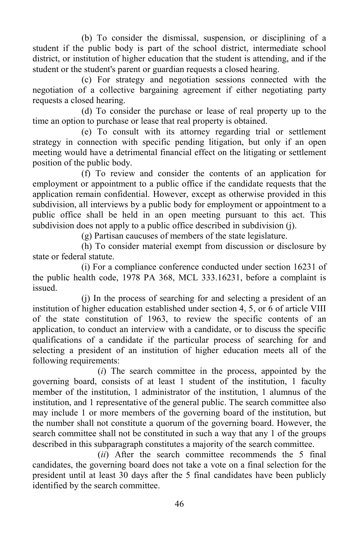(b) To consider the dismissal, suspension, or disciplining of a student if the public body is part of the school district, intermediate school district, or institution of higher education that the student is attending, and if the student or the student's parent or guardian requests a closed hearing.

(c) For strategy and negotiation sessions connected with the negotiation of a collective bargaining agreement if either negotiating party requests a closed hearing.

(d) To consider the purchase or lease of real property up to the time an option to purchase or lease that real property is obtained.

(e) To consult with its attorney regarding trial or settlement strategy in connection with specific pending litigation, but only if an open meeting would have a detrimental financial effect on the litigating or settlement position of the public body.

(f) To review and consider the contents of an application for employment or appointment to a public office if the candidate requests that the application remain confidential. However, except as otherwise provided in this subdivision, all interviews by a public body for employment or appointment to a public office shall be held in an open meeting pursuant to this act. This subdivision does not apply to a public office described in subdivision (j).

(g) Partisan caucuses of members of the state legislature.

(h) To consider material exempt from discussion or disclosure by state or federal statute.

(i) For a compliance conference conducted under section 16231 of the public health code, 1978 PA 368, MCL 333.16231, before a complaint is issued.

(j) In the process of searching for and selecting a president of an institution of higher education established under section 4, 5, or 6 of article VIII of the state constitution of 1963, to review the specific contents of an application, to conduct an interview with a candidate, or to discuss the specific qualifications of a candidate if the particular process of searching for and selecting a president of an institution of higher education meets all of the following requirements:

(*i*) The search committee in the process, appointed by the governing board, consists of at least 1 student of the institution, 1 faculty member of the institution, 1 administrator of the institution, 1 alumnus of the institution, and 1 representative of the general public. The search committee also may include 1 or more members of the governing board of the institution, but the number shall not constitute a quorum of the governing board. However, the search committee shall not be constituted in such a way that any 1 of the groups described in this subparagraph constitutes a majority of the search committee.

(*ii*) After the search committee recommends the 5 final candidates, the governing board does not take a vote on a final selection for the president until at least 30 days after the 5 final candidates have been publicly identified by the search committee.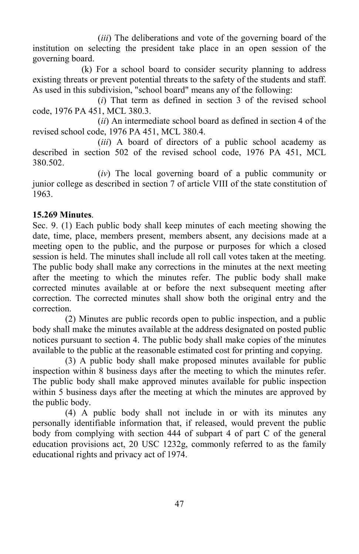(*iii*) The deliberations and vote of the governing board of the institution on selecting the president take place in an open session of the governing board.

(k) For a school board to consider security planning to address existing threats or prevent potential threats to the safety of the students and staff. As used in this subdivision, "school board" means any of the following:

(*i*) That term as defined in section 3 of the revised school code, 1976 PA 451, MCL 380.3.

(*ii*) An intermediate school board as defined in section 4 of the revised school code, 1976 PA 451, MCL 380.4.

(*iii*) A board of directors of a public school academy as described in section 502 of the revised school code, 1976 PA 451, MCL 380.502.

(*iv*) The local governing board of a public community or junior college as described in section 7 of article VIII of the state constitution of 1963.

### **15.269 Minutes**.

Sec. 9. (1) Each public body shall keep minutes of each meeting showing the date, time, place, members present, members absent, any decisions made at a meeting open to the public, and the purpose or purposes for which a closed session is held. The minutes shall include all roll call votes taken at the meeting. The public body shall make any corrections in the minutes at the next meeting after the meeting to which the minutes refer. The public body shall make corrected minutes available at or before the next subsequent meeting after correction. The corrected minutes shall show both the original entry and the correction.

(2) Minutes are public records open to public inspection, and a public body shall make the minutes available at the address designated on posted public notices pursuant to section 4. The public body shall make copies of the minutes available to the public at the reasonable estimated cost for printing and copying.

(3) A public body shall make proposed minutes available for public inspection within 8 business days after the meeting to which the minutes refer. The public body shall make approved minutes available for public inspection within 5 business days after the meeting at which the minutes are approved by the public body.

(4) A public body shall not include in or with its minutes any personally identifiable information that, if released, would prevent the public body from complying with section 444 of subpart 4 of part C of the general education provisions act, 20 USC 1232g, commonly referred to as the family educational rights and privacy act of 1974.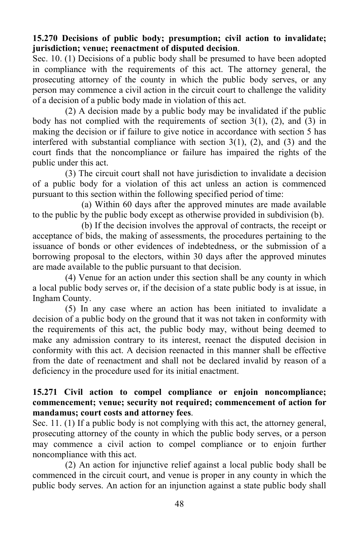### **15.270 Decisions of public body; presumption; civil action to invalidate; jurisdiction; venue; reenactment of disputed decision**.

Sec. 10. (1) Decisions of a public body shall be presumed to have been adopted in compliance with the requirements of this act. The attorney general, the prosecuting attorney of the county in which the public body serves, or any person may commence a civil action in the circuit court to challenge the validity of a decision of a public body made in violation of this act.

(2) A decision made by a public body may be invalidated if the public body has not complied with the requirements of section  $3(1)$ ,  $(2)$ , and  $(3)$  in making the decision or if failure to give notice in accordance with section 5 has interfered with substantial compliance with section  $3(1)$ ,  $(2)$ , and  $(3)$  and the court finds that the noncompliance or failure has impaired the rights of the public under this act.

(3) The circuit court shall not have jurisdiction to invalidate a decision of a public body for a violation of this act unless an action is commenced pursuant to this section within the following specified period of time:

(a) Within 60 days after the approved minutes are made available to the public by the public body except as otherwise provided in subdivision (b).

(b) If the decision involves the approval of contracts, the receipt or acceptance of bids, the making of assessments, the procedures pertaining to the issuance of bonds or other evidences of indebtedness, or the submission of a borrowing proposal to the electors, within 30 days after the approved minutes are made available to the public pursuant to that decision.

(4) Venue for an action under this section shall be any county in which a local public body serves or, if the decision of a state public body is at issue, in Ingham County.

(5) In any case where an action has been initiated to invalidate a decision of a public body on the ground that it was not taken in conformity with the requirements of this act, the public body may, without being deemed to make any admission contrary to its interest, reenact the disputed decision in conformity with this act. A decision reenacted in this manner shall be effective from the date of reenactment and shall not be declared invalid by reason of a deficiency in the procedure used for its initial enactment.

#### **15.271 Civil action to compel compliance or enjoin noncompliance; commencement; venue; security not required; commencement of action for mandamus; court costs and attorney fees**.

Sec. 11. (1) If a public body is not complying with this act, the attorney general, prosecuting attorney of the county in which the public body serves, or a person may commence a civil action to compel compliance or to enjoin further noncompliance with this act.

(2) An action for injunctive relief against a local public body shall be commenced in the circuit court, and venue is proper in any county in which the public body serves. An action for an injunction against a state public body shall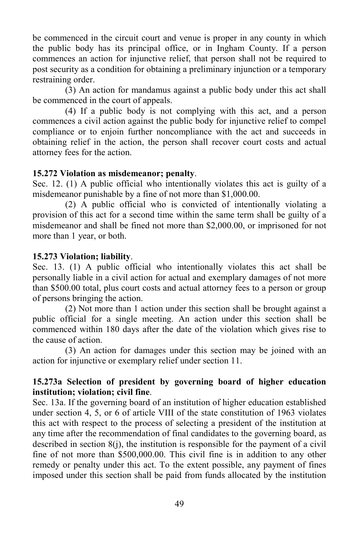be commenced in the circuit court and venue is proper in any county in which the public body has its principal office, or in Ingham County. If a person commences an action for injunctive relief, that person shall not be required to post security as a condition for obtaining a preliminary injunction or a temporary restraining order.

(3) An action for mandamus against a public body under this act shall be commenced in the court of appeals.

(4) If a public body is not complying with this act, and a person commences a civil action against the public body for injunctive relief to compel compliance or to enjoin further noncompliance with the act and succeeds in obtaining relief in the action, the person shall recover court costs and actual attorney fees for the action.

#### **15.272 Violation as misdemeanor; penalty**.

Sec. 12. (1) A public official who intentionally violates this act is guilty of a misdemeanor punishable by a fine of not more than \$1,000.00.

(2) A public official who is convicted of intentionally violating a provision of this act for a second time within the same term shall be guilty of a misdemeanor and shall be fined not more than \$2,000.00, or imprisoned for not more than 1 year, or both.

#### **15.273 Violation; liability**.

Sec. 13. (1) A public official who intentionally violates this act shall be personally liable in a civil action for actual and exemplary damages of not more than \$500.00 total, plus court costs and actual attorney fees to a person or group of persons bringing the action.

(2) Not more than 1 action under this section shall be brought against a public official for a single meeting. An action under this section shall be commenced within 180 days after the date of the violation which gives rise to the cause of action.

(3) An action for damages under this section may be joined with an action for injunctive or exemplary relief under section 11.

#### **15.273a Selection of president by governing board of higher education institution; violation; civil fine**.

Sec. 13a. If the governing board of an institution of higher education established under section 4, 5, or 6 of article VIII of the state constitution of 1963 violates this act with respect to the process of selecting a president of the institution at any time after the recommendation of final candidates to the governing board, as described in section  $8(i)$ , the institution is responsible for the payment of a civil fine of not more than \$500,000.00. This civil fine is in addition to any other remedy or penalty under this act. To the extent possible, any payment of fines imposed under this section shall be paid from funds allocated by the institution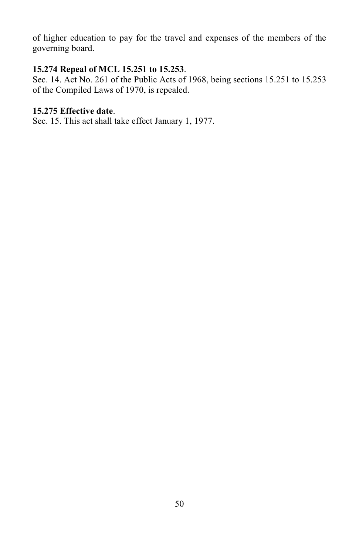of higher education to pay for the travel and expenses of the members of the governing board.

### **15.274 Repeal of MCL 15.251 to 15.253**.

Sec. 14. Act No. 261 of the Public Acts of 1968, being sections 15.251 to 15.253 of the Compiled Laws of 1970, is repealed.

# **15.275 Effective date**.

Sec. 15. This act shall take effect January 1, 1977.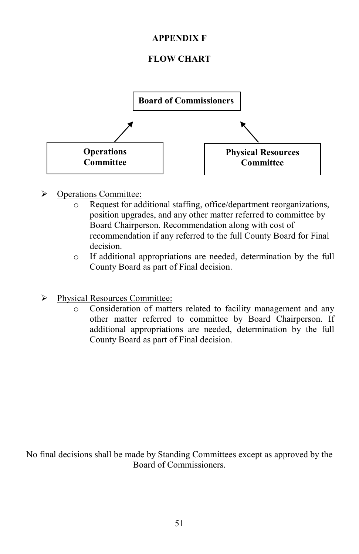### **APPENDIX F**

# **FLOW CHART**



- Operations Committee:
	- o Request for additional staffing, office/department reorganizations, position upgrades, and any other matter referred to committee by Board Chairperson. Recommendation along with cost of recommendation if any referred to the full County Board for Final decision.
	- o If additional appropriations are needed, determination by the full County Board as part of Final decision.
- > Physical Resources Committee:
	- o Consideration of matters related to facility management and any other matter referred to committee by Board Chairperson. If additional appropriations are needed, determination by the full County Board as part of Final decision.

No final decisions shall be made by Standing Committees except as approved by the Board of Commissioners.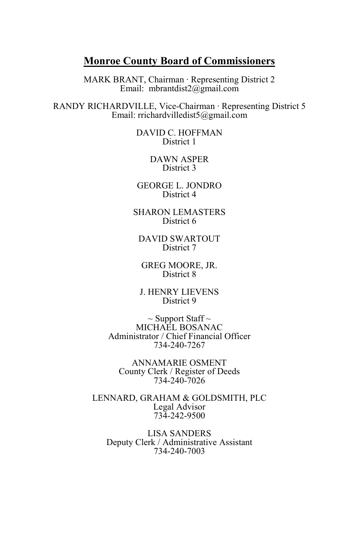# **Monroe County Board of Commissioners**

MARK BRANT, Chairman ∙ Representing District 2 Email: mbrantdist2@gmail.com

RANDY RICHARDVILLE, Vice-Chairman ∙ Representing District 5 Email: rrichardvilledist5@gmail.com

> DAVID C. HOFFMAN District 1

> > DAWN ASPER District 3

GEORGE L. JONDRO District 4

SHARON LEMASTERS District 6

DAVID SWARTOUT District 7

GREG MOORE, JR. District 8

J. HENRY LIEVENS District 9

 $\sim$  Support Staff  $\sim$ MICHAEL BOSANAC Administrator / Chief Financial Officer 734-240-7267

ANNAMARIE OSMENT County Clerk / Register of Deeds 734-240-7026

LENNARD, GRAHAM & GOLDSMITH, PLC Legal Advisor 734-242-9500

LISA SANDERS Deputy Clerk / Administrative Assistant 734-240-7003